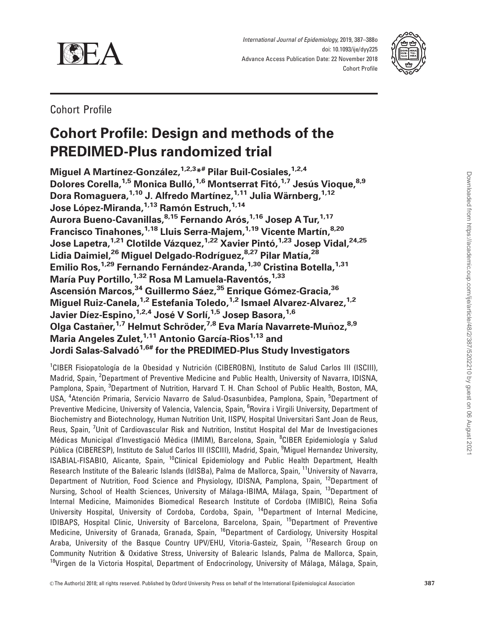

International Journal of Epidemiology, 2019, 387–388o doi: 10.1093/ije/dyy225 Advance Access Publication Date: 22 November 2018 Cohort Profile



# Cohort Profile

# Cohort Profile: Design and methods of the PREDIMED-Plus randomized trial

Miguel A Martínez-González, <sup>1,2,3\*#</sup> Pilar Buil-Cosiales, <sup>1,2,4</sup> Dolores Corella,<sup>1,5</sup> Monica Bulló,<sup>1,6</sup> Montserrat Fitó,<sup>1,7</sup> Jesús Vioque,<sup>8,9</sup> Dora Romaguera,<sup>1,10</sup> J. Alfredo Martínez,<sup>1,11</sup> Julia Wärnberg,<sup>1,12</sup> Jose López-Miranda, <sup>1,13</sup> Ramón Estruch, <sup>1,14</sup> Aurora Bueno-Cavanillas, 8,15 Fernando Arós, 1,16 Josep A Tur, 1,17 Francisco Tinahones,<sup>1,18</sup> Lluis Serra-Majem,<sup>1,19</sup> Vicente Martín,<sup>8,20</sup> Jose Lapetra, <sup>1,21</sup> Clotilde Vázquez, <sup>1,22</sup> Xavier Pintó, <sup>1,23</sup> Josep Vidal, <sup>24,25</sup> Lidia Daimiel,<sup>26</sup> Miguel Delgado-Rodríguez,<sup>8,27</sup> Pilar Matía,<sup>28</sup> Emilio Ros, <sup>1,29</sup> Fernando Fernández-Aranda, <sup>1,30</sup> Cristina Botella, <sup>1,31</sup> María Puy Portillo, <sup>1,32</sup> Rosa M Lamuela-Raventós, <sup>1,33</sup> Ascensión Marcos,<sup>34</sup> Guillermo Sáez,<sup>35</sup> Enrique Gómez-Gracia,<sup>36</sup> Miguel Ruiz-Canela,<sup>1,2</sup> Estefania Toledo,<sup>1,2</sup> Ismael Alvarez-Alvarez,<sup>1,2</sup> Javier Díez-Espino, <sup>1,2,4</sup> José V Sorlí, <sup>1,5</sup> Josep Basora, <sup>1,6</sup> Olga Castañer, <sup>1,7</sup> Helmut Schröder, <sup>7,8</sup> Eva María Navarrete-Muñoz, <sup>8,9</sup> Maria Angeles Zulet, <sup>1,11</sup> Antonio García-Rios<sup>1,13</sup> and Jordi Salas-Salvadó<sup>1,6#</sup> for the PREDIMED-Plus Study Investigators

<sup>1</sup>CIBER Fisiopatología de la Obesidad y Nutrición (CIBEROBN), Instituto de Salud Carlos III (ISCIII), Madrid, Spain, <sup>2</sup>Department of Preventive Medicine and Public Health, University of Navarra, IDISNA, Pamplona, Spain, <sup>3</sup>Department of Nutrition, Harvard T. H. Chan School of Public Health, Boston, MA, USA, <sup>4</sup>Atención Primaria, Servicio Navarro de Salud-Osasunbidea, Pamplona, Spain, <sup>5</sup>Department of Preventive Medicine, University of Valencia, Valencia, Spain, <sup>6</sup>Rovira i Virgili University, Department of Biochemistry and Biotechnology, Human Nutrition Unit, IISPV, Hospital Universitari Sant Joan de Reus, Reus, Spain, <sup>7</sup>Unit of Cardiovascular Risk and Nutrition, Institut Hospital del Mar de Investigaciones Médicas Municipal d'Investigació Mèdica (IMIM), Barcelona, Spain, <sup>8</sup>CIBER Epidemiología y Salud Pública (CIBERESP), Instituto de Salud Carlos III (ISCIII), Madrid, Spain, <sup>9</sup>Miguel Hernandez University, ISABIAL-FISABIO, Alicante, Spain, <sup>10</sup>Clinical Epidemiology and Public Health Department, Health Research Institute of the Balearic Islands (IdISBa), Palma de Mallorca, Spain, 11University of Navarra, Department of Nutrition, Food Science and Physiology, IDISNA, Pamplona, Spain, <sup>12</sup>Department of Nursing, School of Health Sciences, University of Málaga-IBIMA, Málaga, Spain, <sup>13</sup>Department of Internal Medicine, Maimonides Biomedical Research Institute of Cordoba (IMIBIC), Reina Sofia University Hospital, University of Cordoba, Cordoba, Spain, 14Department of Internal Medicine, IDIBAPS, Hospital Clinic, University of Barcelona, Barcelona, Spain, 15Department of Preventive Medicine, University of Granada, Granada, Spain, <sup>16</sup>Department of Cardiology, University Hospital Araba, University of the Basque Country UPV/EHU, Vitoria-Gasteiz, Spain, <sup>17</sup>Research Group on Community Nutrition & Oxidative Stress, University of Balearic Islands, Palma de Mallorca, Spain, <sup>18</sup>Virgen de la Victoria Hospital, Department of Endocrinology, University of Málaga, Málaga, Spain,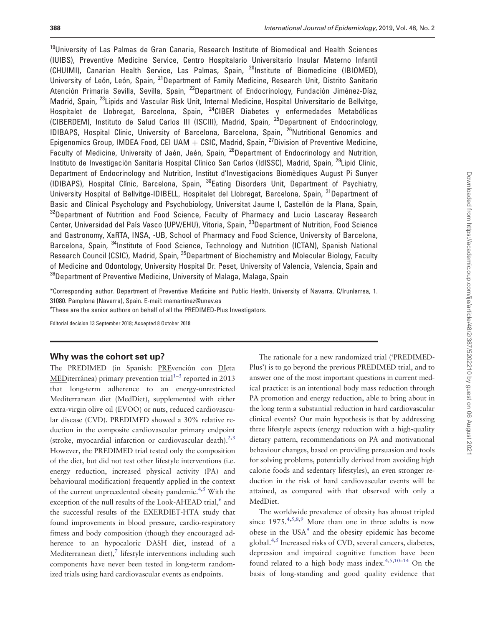<span id="page-1-0"></span><sup>19</sup>University of Las Palmas de Gran Canaria, Research Institute of Biomedical and Health Sciences (IUIBS), Preventive Medicine Service, Centro Hospitalario Universitario Insular Materno Infantil (CHUIMI), Canarian Health Service, Las Palmas, Spain, <sup>20</sup>Institute of Biomedicine (IBIOMED), University of León, León, Spain, <sup>21</sup>Department of Family Medicine, Research Unit, Distrito Sanitario Atención Primaria Sevilla, Sevilla, Spain, <sup>22</sup>Department of Endocrinology, Fundación Jiménez-Díaz, Madrid, Spain, 23Lipids and Vascular Risk Unit, Internal Medicine, Hospital Universitario de Bellvitge, Hospitalet de Llobregat, Barcelona, Spain,  $^{24}$ CIBER Diabetes y enfermedades Metabólicas (CIBERDEM), Instituto de Salud Carlos III (ISCIII), Madrid, Spain, 25Department of Endocrinology, IDIBAPS, Hospital Clinic, University of Barcelona, Barcelona, Spain, <sup>26</sup>Nutritional Genomics and Epigenomics Group, IMDEA Food, CEI UAM  $+$  CSIC, Madrid, Spain, <sup>27</sup>Division of Preventive Medicine, Faculty of Medicine, University of Jaén, Jaén, Spain, <sup>28</sup>Department of Endocrinology and Nutrition, Instituto de Investigación Sanitaria Hospital Clínico San Carlos (IdISSC), Madrid, Spain, <sup>29</sup>Lipid Clinic, Department of Endocrinology and Nutrition, Institut d'Investigacions Biomèdiques August Pi Sunyer (IDIBAPS), Hospital Clı´nic, Barcelona, Spain, 30Eating Disorders Unit, Department of Psychiatry, University Hospital of Bellvitge-IDIBELL, Hospitalet del Llobregat, Barcelona, Spain, <sup>31</sup>Department of Basic and Clinical Psychology and Psychobiology, Universitat Jaume I, Castellón de la Plana, Spain, <sup>32</sup>Department of Nutrition and Food Science, Faculty of Pharmacy and Lucio Lascaray Research Center, Universidad del País Vasco (UPV/EHU), Vitoria, Spain, <sup>33</sup>Department of Nutrition, Food Science and Gastronomy, XaRTA, INSA, -UB, School of Pharmacy and Food Science, University of Barcelona, Barcelona, Spain, 34Institute of Food Science, Technology and Nutrition (ICTAN), Spanish National Research Council (CSIC), Madrid, Spain, <sup>35</sup>Department of Biochemistry and Molecular Biology, Faculty of Medicine and Odontology, University Hospital Dr. Peset, University of Valencia, Valencia, Spain and <sup>36</sup>Department of Preventive Medicine, University of Malaga, Malaga, Spain

\*Corresponding author. Department of Preventive Medicine and Public Health, University of Navarra, C/Irunlarrea, 1. 31080. Pamplona (Navarra), Spain. E-mail: mamartinez@unav.es

 $^{\#}$ These are the senior authors on behalf of all the <code>PREDIMED-Plus</code> Investigators.

Editorial decision 13 September 2018; Accepted 8 October 2018

#### Why was the cohort set up?

The PREDIMED (in Spanish: PREvención con DIeta MEDiterránea) primary prevention trial<sup>1–[3](#page-13-0)</sup> reported in 2013 that long-term adherence to an energy-unrestricted Mediterranean diet (MedDiet), supplemented with either extra-virgin olive oil (EVOO) or nuts, reduced cardiovascular disease (CVD). PREDIMED showed a 30% relative reduction in the composite cardiovascular primary endpoint (stroke, myocardial infarction or cardiovascular death). $2,3$  $2,3$  $2,3$ However, the PREDIMED trial tested only the composition of the diet, but did not test other lifestyle interventions (i.e. energy reduction, increased physical activity (PA) and behavioural modification) frequently applied in the context of the current unprecedented obesity pandemic[.4](#page-13-0),[5](#page-13-0) With the exception of the null results of the Look-AHEAD trial,<sup>6</sup> and the successful results of the EXERDIET-HTA study that found improvements in blood pressure, cardio-respiratory fitness and body composition (though they encouraged adherence to an hypocaloric DASH diet, instead of a Mediterranean diet), $\frac{7}{7}$  $\frac{7}{7}$  $\frac{7}{7}$  lifestyle interventions including such components have never been tested in long-term randomized trials using hard cardiovascular events as endpoints.

The rationale for a new randomized trial ('PREDIMED-Plus') is to go beyond the previous PREDIMED trial, and to answer one of the most important questions in current medical practice: is an intentional body mass reduction through PA promotion and energy reduction, able to bring about in the long term a substantial reduction in hard cardiovascular clinical events? Our main hypothesis is that by addressing three lifestyle aspects (energy reduction with a high-quality dietary pattern, recommendations on PA and motivational behaviour changes, based on providing persuasion and tools for solving problems, potentially derived from avoiding high calorie foods and sedentary lifestyles), an even stronger reduction in the risk of hard cardiovascular events will be attained, as compared with that observed with only a MedDiet.

The worldwide prevalence of obesity has almost tripled since  $1975^{4,5,8,9}$  $1975^{4,5,8,9}$  $1975^{4,5,8,9}$  $1975^{4,5,8,9}$  $1975^{4,5,8,9}$  $1975^{4,5,8,9}$  $1975^{4,5,8,9}$  More than one in three adults is now obese in the USA<sup>[9](#page-14-0)</sup> and the obesity epidemic has become global[.4](#page-13-0),[5](#page-13-0) Increased risks of CVD, several cancers, diabetes, depression and impaired cognitive function have been found related to a high body mass index. $4,5,10-14$  $4,5,10-14$  $4,5,10-14$  $4,5,10-14$  $4,5,10-14$  $4,5,10-14$  $4,5,10-14$  On the basis of long-standing and good quality evidence that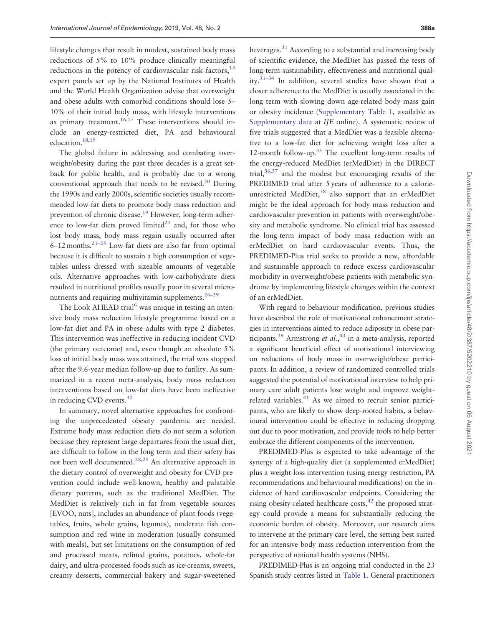<span id="page-2-0"></span>lifestyle changes that result in modest, sustained body mass reductions of 5% to 10% produce clinically meaningful reductions in the potency of cardiovascular risk factors,  $15$ expert panels set up by the National Institutes of Health and the World Health Organization advise that overweight and obese adults with comorbid conditions should lose 5– 10% of their initial body mass, with lifestyle interventions as primary treatment.<sup>[16](#page-14-0),[17](#page-14-0)</sup> These interventions should include an energy-restricted diet, PA and behavioural education.<sup>[18](#page-14-0),[19](#page-14-0)</sup>

The global failure in addressing and combating overweight/obesity during the past three decades is a great setback for public health, and is probably due to a wrong conventional approach that needs to be revised.<sup>20</sup> During the 1990s and early 2000s, scientific societies usually recommended low-fat diets to promote body mass reduction and prevention of chronic disease.<sup>[19](#page-14-0)</sup> However, long-term adherence to low-fat diets proved limited $21$  and, for those who lost body mass, body mass regain usually occurred after  $6-12$  months.<sup>[21](#page-14-0)–[25](#page-14-0)</sup> Low-fat diets are also far from optimal because it is difficult to sustain a high consumption of vegetables unless dressed with sizeable amounts of vegetable oils. Alternative approaches with low-carbohydrate diets resulted in nutritional profiles usually poor in several micro-nutrients and requiring multivitamin supplements.<sup>26–[29](#page-14-0)</sup>

The Look AHEAD trial $<sup>6</sup>$  $<sup>6</sup>$  $<sup>6</sup>$  was unique in testing an inten-</sup> sive body mass reduction lifestyle programme based on a low-fat diet and PA in obese adults with type 2 diabetes. This intervention was ineffective in reducing incident CVD (the primary outcome) and, even though an absolute 5% loss of initial body mass was attained, the trial was stopped after the 9.6-year median follow-up due to futility. As summarized in a recent meta-analysis, body mass reduction interventions based on low-fat diets have been ineffective in reducing CVD events.<sup>[30](#page-14-0)</sup>

In summary, novel alternative approaches for confronting the unprecedented obesity pandemic are needed. Extreme body mass reduction diets do not seem a solution because they represent large departures from the usual diet, are difficult to follow in the long term and their safety has not been well documented[.28](#page-14-0),[29](#page-14-0) An alternative approach in the dietary control of overweight and obesity for CVD prevention could include well-known, healthy and palatable dietary patterns, such as the traditional MedDiet. The MedDiet is relatively rich in fat from vegetable sources [EVOO, nuts], includes an abundance of plant foods (vegetables, fruits, whole grains, legumes), moderate fish consumption and red wine in moderation (usually consumed with meals), but set limitations on the consumption of red and processed meats, refined grains, potatoes, whole-fat dairy, and ultra-processed foods such as ice-creams, sweets, creamy desserts, commercial bakery and sugar-sweetened

beverages.[31](#page-14-0) According to a substantial and increasing body of scientific evidence, the MedDiet has passed the tests of long-term sustainability, effectiveness and nutritional quality.[31](#page-14-0)–[34](#page-14-0) In addition, several studies have shown that a closer adherence to the MedDiet is usually associated in the long term with slowing down age-related body mass gain or obesity incidence [\(Supplementary Table 1,](https://academic.oup.com/ije/article-lookup/doi/10.1093/ije/dyy225#supplementary-data) available as [Supplementary data](https://academic.oup.com/ije/article-lookup/doi/10.1093/ije/dyy225#supplementary-data) at IJE online). A systematic review of five trials suggested that a MedDiet was a feasible alternative to a low-fat diet for achieving weight loss after a 12-month follow-up.<sup>35</sup> The excellent long-term results of the energy-reduced MedDiet (erMedDiet) in the DIRECT trial, $36,37$  $36,37$  $36,37$  and the modest but encouraging results of the PREDIMED trial after 5 years of adherence to a calorieunrestricted MedDiet,<sup>38</sup> also support that an erMedDiet might be the ideal approach for body mass reduction and cardiovascular prevention in patients with overweight/obesity and metabolic syndrome. No clinical trial has assessed the long-term impact of body mass reduction with an erMedDiet on hard cardiovascular events. Thus, the PREDIMED-Plus trial seeks to provide a new, affordable and sustainable approach to reduce excess cardiovascular morbidity in overweight/obese patients with metabolic syndrome by implementing lifestyle changes within the context of an erMedDiet.

With regard to behaviour modification, previous studies have described the role of motivational enhancement strategies in interventions aimed to reduce adiposity in obese par-ticipants.<sup>[39](#page-14-0)</sup> Armstrong et al.,<sup>[40](#page-14-0)</sup> in a meta-analysis, reported a significant beneficial effect of motivational interviewing on reductions of body mass in overweight/obese participants. In addition, a review of randomized controlled trials suggested the potential of motivational interview to help primary care adult patients lose weight and improve weightrelated variables.<sup>41</sup> As we aimed to recruit senior participants, who are likely to show deep-rooted habits, a behavioural intervention could be effective in reducing dropping out due to poor motivation, and provide tools to help better embrace the different components of the intervention.

PREDIMED-Plus is expected to take advantage of the synergy of a high-quality diet (a supplemented erMedDiet) plus a weight-loss intervention (using energy restriction, PA recommendations and behavioural modifications) on the incidence of hard cardiovascular endpoints. Considering the rising obesity-related healthcare  $costs<sub>1</sub><sup>42</sup>$  the proposed strategy could provide a means for substantially reducing the economic burden of obesity. Moreover, our research aims to intervene at the primary care level, the setting best suited for an intensive body mass reduction intervention from the perspective of national health systems (NHS).

PREDIMED-Plus is an ongoing trial conducted in the 23 Spanish study centres listed in [Table 1.](#page-3-0) General practitioners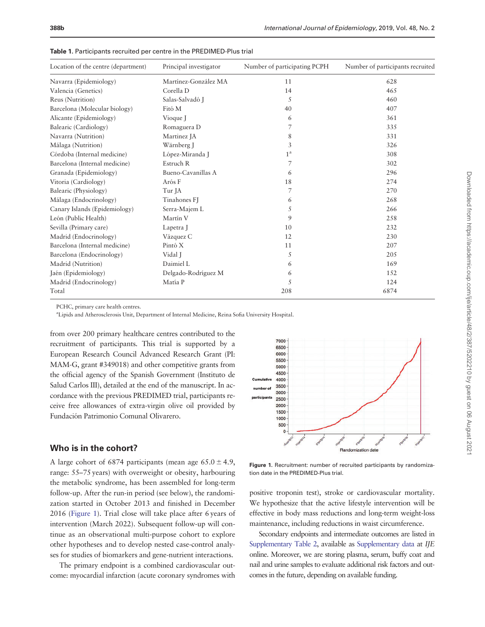| Location of the centre (department) | Principal investigator | Number of participating PCPH | Number of participants recruited |
|-------------------------------------|------------------------|------------------------------|----------------------------------|
| Navarra (Epidemiology)              | Martínez-González MA   | 11                           | 628                              |
| Valencia (Genetics)                 | Corella D              | 14                           | 465                              |
| Reus (Nutrition)                    | Salas-Salvadó J        | 5                            | 460                              |
| Barcelona (Molecular biology)       | Fitó M                 | 40                           | 407                              |
| Alicante (Epidemiology)             | Vioque J               | 6                            | 361                              |
| Balearic (Cardiology)               | Romaguera D            | 7                            | 335                              |
| Navarra (Nutrition)                 | Martinez JA            | 8                            | 331                              |
| Málaga (Nutrition)                  | Wärnberg J             | 3                            | 326                              |
| Córdoba (Internal medicine)         | López-Miranda J        | 1 <sup>a</sup>               | 308                              |
| Barcelona (Internal medicine)       | Estruch R              | 7                            | 302                              |
| Granada (Epidemiology)              | Bueno-Cavanillas A     | 6                            | 296                              |
| Vitoria (Cardiology)                | Arós F                 | 18                           | 274                              |
| Balearic (Physiology)               | Tur JA                 | 7                            | 270                              |
| Málaga (Endocrinology)              | Tinahones FJ           | 6                            | 268                              |
| Canary Islands (Epidemiology)       | Serra-Majem L          | 5                            | 266                              |
| León (Public Health)                | Martín V               | 9                            | 258                              |
| Sevilla (Primary care)              | Lapetra J              | 10                           | 232                              |
| Madrid (Endocrinology)              | Vázquez C              | 12                           | 230                              |
| Barcelona (Internal medicine)       | Pintó X                | 11                           | 207                              |
| Barcelona (Endocrinology)           | Vidal J                | 5                            | 205                              |
| Madrid (Nutrition)                  | Daimiel L              | 6                            | 169                              |
| Jaén (Epidemiology)                 | Delgado-Rodríguez M    | 6                            | 152                              |
| Madrid (Endocrinology)              | Matía P                | 5                            | 124                              |
| Total                               |                        | 208                          | 6874                             |

<span id="page-3-0"></span>Table 1. Participants recruited per centre in the PREDIMED-Plus trial

PCHC, primary care health centres.

a Lipids and Atherosclerosis Unit, Department of Internal Medicine, Reina Sofia University Hospital.

from over 200 primary healthcare centres contributed to the recruitment of participants. This trial is supported by a European Research Council Advanced Research Grant (PI: MAM-G, grant #349018) and other competitive grants from the official agency of the Spanish Government (Instituto de Salud Carlos III), detailed at the end of the manuscript. In accordance with the previous PREDIMED trial, participants receive free allowances of extra-virgin olive oil provided by Fundación Patrimonio Comunal Olivarero.

# Who is in the cohort?

A large cohort of 6874 participants (mean age  $65.0 \pm 4.9$ , range: 55–75 years) with overweight or obesity, harbouring the metabolic syndrome, has been assembled for long-term follow-up. After the run-in period (see below), the randomization started in October 2013 and finished in December 2016 (Figure 1). Trial close will take place after 6 years of intervention (March 2022). Subsequent follow-up will continue as an observational multi-purpose cohort to explore other hypotheses and to develop nested case-control analyses for studies of biomarkers and gene-nutrient interactions.

The primary endpoint is a combined cardiovascular outcome: myocardial infarction (acute coronary syndromes with



Figure 1. Recruitment: number of recruited participants by randomization date in the PREDIMED-Plus trial.

positive troponin test), stroke or cardiovascular mortality. We hypothesize that the active lifestyle intervention will be effective in body mass reductions and long-term weight-loss maintenance, including reductions in waist circumference.

Secondary endpoints and intermediate outcomes are listed in [Supplementary Table 2](https://academic.oup.com/ije/article-lookup/doi/10.1093/ije/dyy225#supplementary-data), available as [Supplementary data](https://academic.oup.com/ije/article-lookup/doi/10.1093/ije/dyy225#supplementary-data) at IJE online. Moreover, we are storing plasma, serum, buffy coat and nail and urine samples to evaluate additional risk factors and outcomes in the future, depending on available funding.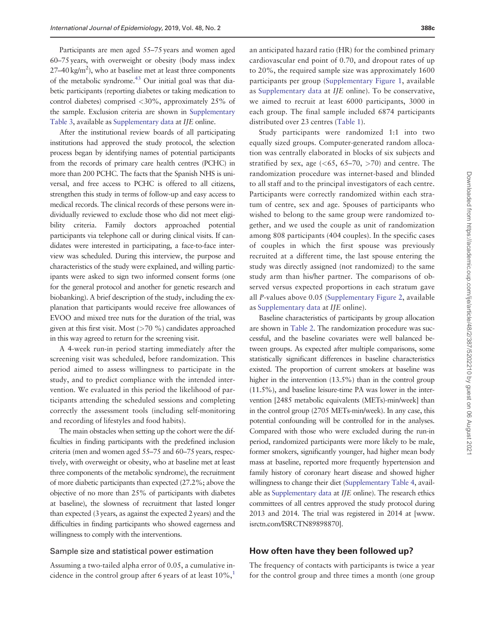<span id="page-4-0"></span>Participants are men aged 55–75 years and women aged 60–75 years, with overweight or obesity (body mass index  $27-40 \text{ kg/m}^2$ ), who at baseline met at least three components of the metabolic syndrome[.43](#page-15-0) Our initial goal was that diabetic participants (reporting diabetes or taking medication to control diabetes) comprised <30%, approximately 25% of the sample. Exclusion criteria are shown in [Supplementary](https://academic.oup.com/ije/article-lookup/doi/10.1093/ije/dyy225#supplementary-data) [Table 3](https://academic.oup.com/ije/article-lookup/doi/10.1093/ije/dyy225#supplementary-data), available as [Supplementary data](https://academic.oup.com/ije/article-lookup/doi/10.1093/ije/dyy225#supplementary-data) at IJE online.

After the institutional review boards of all participating institutions had approved the study protocol, the selection process began by identifying names of potential participants from the records of primary care health centres (PCHC) in more than 200 PCHC. The facts that the Spanish NHS is universal, and free access to PCHC is offered to all citizens, strengthen this study in terms of follow-up and easy access to medical records. The clinical records of these persons were individually reviewed to exclude those who did not meet eligibility criteria. Family doctors approached potential participants via telephone call or during clinical visits. If candidates were interested in participating, a face-to-face interview was scheduled. During this interview, the purpose and characteristics of the study were explained, and willing participants were asked to sign two informed consent forms (one for the general protocol and another for genetic research and biobanking). A brief description of the study, including the explanation that participants would receive free allowances of EVOO and mixed tree nuts for the duration of the trial, was given at this first visit. Most (>70 %) candidates approached in this way agreed to return for the screening visit.

A 4-week run-in period starting immediately after the screening visit was scheduled, before randomization. This period aimed to assess willingness to participate in the study, and to predict compliance with the intended intervention. We evaluated in this period the likelihood of participants attending the scheduled sessions and completing correctly the assessment tools (including self-monitoring and recording of lifestyles and food habits).

The main obstacles when setting up the cohort were the difficulties in finding participants with the predefined inclusion criteria (men and women aged 55–75 and 60–75 years, respectively, with overweight or obesity, who at baseline met at least three components of the metabolic syndrome), the recruitment of more diabetic participants than expected (27.2%; above the objective of no more than 25% of participants with diabetes at baseline), the slowness of recruitment that lasted longer than expected (3years, as against the expected 2years) and the difficulties in finding participants who showed eagerness and willingness to comply with the interventions.

### Sample size and statistical power estimation

Assuming a two-tailed alpha error of 0.05, a cumulative incidence in the control group after 6 years of at least  $10\%,$  $10\%,$ <sup>1</sup>

an anticipated hazard ratio (HR) for the combined primary cardiovascular end point of 0.70, and dropout rates of up to 20%, the required sample size was approximately 1600 participants per group [\(Supplementary Figure 1,](https://academic.oup.com/ije/article-lookup/doi/10.1093/ije/dyy225#supplementary-data) available as [Supplementary data](https://academic.oup.com/ije/article-lookup/doi/10.1093/ije/dyy225#supplementary-data) at IJE online). To be conservative, we aimed to recruit at least 6000 participants, 3000 in each group. The final sample included 6874 participants distributed over 23 centres ([Table 1\)](#page-3-0).

Study participants were randomized 1:1 into two equally sized groups. Computer-generated random allocation was centrally elaborated in blocks of six subjects and stratified by sex, age  $(<65, 65-70, >70)$  and centre. The randomization procedure was internet-based and blinded to all staff and to the principal investigators of each centre. Participants were correctly randomized within each stratum of centre, sex and age. Spouses of participants who wished to belong to the same group were randomized together, and we used the couple as unit of randomization among 808 participants (404 couples). In the specific cases of couples in which the first spouse was previously recruited at a different time, the last spouse entering the study was directly assigned (not randomized) to the same study arm than his/her partner. The comparisons of observed versus expected proportions in each stratum gave all P-values above 0.05 [\(Supplementary Figure 2](https://academic.oup.com/ije/article-lookup/doi/10.1093/ije/dyy225#supplementary-data), available as [Supplementary data](https://academic.oup.com/ije/article-lookup/doi/10.1093/ije/dyy225#supplementary-data) at IJE online).

Baseline characteristics of participants by group allocation are shown in [Table 2.](#page-5-0) The randomization procedure was successful, and the baseline covariates were well balanced between groups. As expected after multiple comparisons, some statistically significant differences in baseline characteristics existed. The proportion of current smokers at baseline was higher in the intervention  $(13.5\%)$  than in the control group (11.5%), and baseline leisure-time PA was lower in the intervention [2485 metabolic equivalents (METs)-min/week] than in the control group (2705 METs-min/week). In any case, this potential confounding will be controlled for in the analyses. Compared with those who were excluded during the run-in period, randomized participants were more likely to be male, former smokers, significantly younger, had higher mean body mass at baseline, reported more frequently hypertension and family history of coronary heart disease and showed higher willingness to change their diet [\(Supplementary Table 4](https://academic.oup.com/ije/article-lookup/doi/10.1093/ije/dyy225#supplementary-data), available as [Supplementary data](https://academic.oup.com/ije/article-lookup/doi/10.1093/ije/dyy225#supplementary-data) at IJE online). The research ethics committees of all centres approved the study protocol during 2013 and 2014. The trial was registered in 2014 at [\[www.](http://www.isrctn.com/ISRCTN89898870) [isrctn.com/ISRCTN89898870](http://www.isrctn.com/ISRCTN89898870)].

# How often have they been followed up?

The frequency of contacts with participants is twice a year for the control group and three times a month (one group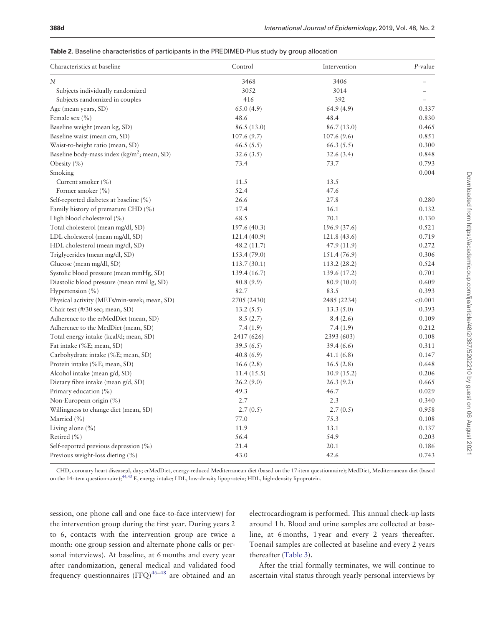<span id="page-5-0"></span>

| Characteristics at baseline                   | Control      | Intervention | P-value |
|-----------------------------------------------|--------------|--------------|---------|
| $\mathcal N$                                  | 3468         | 3406         |         |
| Subjects individually randomized              | 3052         | 3014         |         |
| Subjects randomized in couples                | 416          | 392          |         |
| Age (mean years, SD)                          | 65.0(4.9)    | 64.9(4.9)    | 0.337   |
| Female sex $(\% )$                            | 48.6         | 48.4         | 0.830   |
| Baseline weight (mean kg, SD)                 | 86.5(13.0)   | 86.7(13.0)   | 0.465   |
| Baseline waist (mean cm, SD)                  | 107.6(9.7)   | 107.6(9.6)   | 0.851   |
| Waist-to-height ratio (mean, SD)              | 66.5(5.5)    | 66.3(5.5)    | 0.300   |
| Baseline body-mass index $(kg/m^2;$ mean, SD) | 32.6(3.5)    | 32.6(3.4)    | 0.848   |
| Obesity $(\% )$                               | 73.4         | 73.7         | 0.793   |
| Smoking                                       |              |              | 0.004   |
| Current smoker (%)                            | 11.5         | 13.5         |         |
| Former smoker (%)                             | 52.4         | 47.6         |         |
| Self-reported diabetes at baseline (%)        | 26.6         | 27.8         | 0.280   |
| Family history of premature CHD (%)           | 17.4         | 16.1         | 0.132   |
| High blood cholesterol (%)                    | 68.5         | 70.1         | 0.130   |
| Total cholesterol (mean mg/dl, SD)            | 197.6 (40.3) | 196.9 (37.6) | 0.521   |
| LDL cholesterol (mean mg/dl, SD)              | 121.4 (40.9) | 121.8 (43.6) | 0.719   |
| HDL cholesterol (mean mg/dl, SD)              | 48.2(11.7)   | 47.9 (11.9)  | 0.272   |
| Triglycerides (mean mg/dl, SD)                | 153.4(79.0)  | 151.4 (76.9) | 0.306   |
| Glucose (mean mg/dl, SD)                      | 113.7(30.1)  | 113.2(28.2)  | 0.524   |
| Systolic blood pressure (mean mmHg, SD)       | 139.4 (16.7) | 139.6 (17.2) | 0.701   |
| Diastolic blood pressure (mean mmHg, SD)      | 80.8(9.9)    | 80.9(10.0)   | 0.609   |
| Hypertension $(\% )$                          | 82.7         | 83.5         | 0.393   |
| Physical activity (METs/min-week; mean, SD)   | 2705 (2430)  | 2485 (2234)  | < 0.001 |
| Chair test (#/30 sec; mean, SD)               | 13.2(5.5)    | 13.3(5.0)    | 0.393   |
| Adherence to the erMedDiet (mean, SD)         | 8.5(2.7)     | 8.4(2.6)     | 0.109   |
| Adherence to the MedDiet (mean, SD)           | 7.4(1.9)     | 7.4(1.9)     | 0.212   |
| Total energy intake (kcal/d; mean, SD)        | 2417 (626)   | 2393 (603)   | 0.108   |
| Fat intake (%E; mean, SD)                     | 39.5(6.5)    | 39.4(6.6)    | 0.311   |
| Carbohydrate intake (%E; mean, SD)            | 40.8(6.9)    | 41.1(6.8)    | 0.147   |
| Protein intake (%E; mean, SD)                 | 16.6(2.8)    | 16.5(2.8)    | 0.648   |
| Alcohol intake (mean g/d, SD)                 | 11.4(15.5)   | 10.9(15.2)   | 0.206   |
| Dietary fibre intake (mean g/d, SD)           | 26.2(9.0)    | 26.3(9.2)    | 0.665   |
| Primary education (%)                         | 49.3         | 46.7         | 0.029   |
| Non-European origin (%)                       | 2.7          | 2.3          | 0.340   |
| Willingness to change diet (mean, SD)         | 2.7(0.5)     | 2.7(0.5)     | 0.958   |
| Married (%)                                   | 77.0         | 75.3         | 0.108   |
| Living alone $(\% )$                          | 11.9         | 13.1         | 0.137   |
| Retired $(\% )$                               | 56.4         | 54.9         | 0.203   |
| Self-reported previous depression (%)         | 21.4         | 20.1         | 0.186   |
| Previous weight-loss dieting (%)              | 43.0         | 42.6         | 0.743   |

CHD, coronary heart disease;d, day; erMedDiet, energy-reduced Mediterranean diet (based on the 17-item questionnaire); MedDiet, Mediterranean diet (based on the 14-item questionnaire);<sup>[44,45](#page-15-0)</sup> E, energy intake; LDL, low-density lipoprotein; HDL, high-density lipoprotein.

session, one phone call and one face-to-face interview) for the intervention group during the first year. During years 2 to 6, contacts with the intervention group are twice a month: one group session and alternate phone calls or personal interviews). At baseline, at 6 months and every year after randomization, general medical and validated food frequency questionnaires  $(FFQ)^{46-48}$  are obtained and an electrocardiogram is performed. This annual check-up lasts around 1 h. Blood and urine samples are collected at baseline, at 6 months, 1 year and every 2 years thereafter. Toenail samples are collected at baseline and every 2 years thereafter [\(Table 3](#page-6-0)).

After the trial formally terminates, we will continue to ascertain vital status through yearly personal interviews by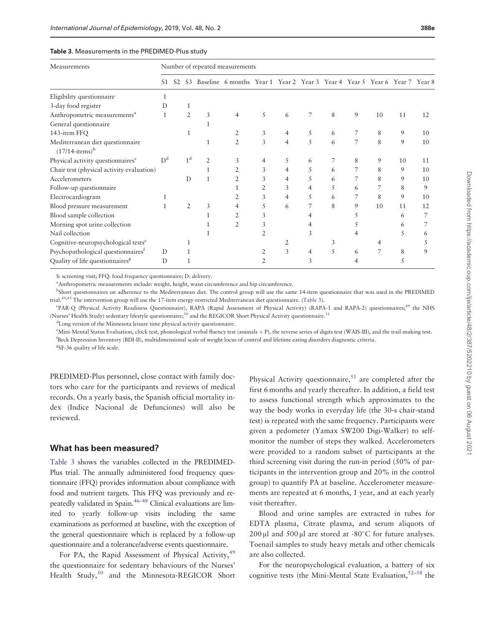<span id="page-6-0"></span>

| Table 3. Measurements in the PREDIMED-Plus study |  |  |
|--------------------------------------------------|--|--|
|--------------------------------------------------|--|--|

| Measurements                                                      | Number of repeated measurements |                |                |   |                                                                           |   |   |   |   |   |    |    |     |
|-------------------------------------------------------------------|---------------------------------|----------------|----------------|---|---------------------------------------------------------------------------|---|---|---|---|---|----|----|-----|
|                                                                   | S1                              | S <sub>2</sub> | S <sub>3</sub> |   | Baseline 6 months Year 1 Year 2 Year 3 Year 4 Year 5 Year 6 Year 7 Year 8 |   |   |   |   |   |    |    |     |
| Eligibility questionnaire                                         |                                 |                |                |   |                                                                           |   |   |   |   |   |    |    |     |
| 3-day food register                                               | D                               |                |                |   |                                                                           |   |   |   |   |   |    |    |     |
| Anthropometric measurements <sup>a</sup>                          | 1                               |                | $\overline{2}$ | 3 |                                                                           | 5 | 6 | 7 | 8 | 9 | 10 | 11 | 12  |
| General questionnaire                                             |                                 |                |                |   |                                                                           |   |   |   |   |   |    |    |     |
| 143-item FFO                                                      |                                 |                |                |   | 2                                                                         | 3 | 4 | 5 | 6 | 7 | 8  | 9  | 10  |
| Mediterranean diet questionnaire<br>$(17/14$ -items) <sup>b</sup> |                                 |                |                |   | 2                                                                         | 3 | 4 | 5 | 6 | 7 | 8  | 9  | 10  |
| Physical activity questionnaires <sup>c</sup>                     | D <sup>d</sup>                  |                | 1 <sup>d</sup> | 2 | 3                                                                         | 4 | 5 | 6 |   | 8 | 9  | 10 | 11  |
| Chair test (physical activity evaluation)                         |                                 |                |                |   | $\mathfrak{D}$                                                            | 3 | 4 | 5 | 6 |   | 8  | 9  | 10  |
| Accelerometers                                                    |                                 |                | D              |   |                                                                           | 3 | 4 | 5 | 6 |   | 8  | 9  | 10  |
| Follow-up questionnaire                                           |                                 |                |                |   |                                                                           |   | 3 | 4 | 5 | 6 |    | 8  | 9   |
| Electrocardiogram                                                 |                                 |                |                |   |                                                                           | 3 | 4 | 5 | 6 |   | 8  | 9  | 10  |
| Blood pressure measurement                                        |                                 |                | $\mathfrak{D}$ | 3 |                                                                           | 5 | 6 |   | 8 | 9 | 10 | 11 | 12. |
| Blood sample collection                                           |                                 |                |                |   |                                                                           | 3 |   |   |   |   |    | 6  |     |
| Morning spot urine collection                                     |                                 |                |                |   |                                                                           |   |   | 4 |   |   |    | 6  |     |
| Nail collection                                                   |                                 |                |                |   |                                                                           |   |   | 3 |   |   |    | 5  |     |
| Cognitive-neuropsychological tests <sup>e</sup>                   |                                 |                |                |   |                                                                           |   | 2 |   | 3 |   |    |    |     |
| Psychopathological questionnaires <sup>t</sup>                    | D                               |                |                |   |                                                                           |   | 3 | 4 | 5 | 6 | 7  | 8  |     |
| Quality of life questionnaires <sup>8</sup>                       | D                               |                |                |   |                                                                           |   |   |   |   |   |    |    |     |

S: screening visit; FFQ: food frequency questionnaire; D: delivery.

<sup>a</sup> Anthropometric measurements include: weight, height, waist circumference and hip circumference.

b Short questionnaires on adherence to the Mediterranean diet. The control group will use the same 14-item questionnaire that was used in the PREDIMED trial.[44](#page-15-0),[45](#page-15-0) The intervention group will use the 17-item energy-restricted Mediterranean diet questionnaire. (Table 3).

<sup>e</sup>PAR-Q (Physical Activity Readiness Questionnaire), RAPA (Rapid Assessment of Physical Activity) (RAPA-1 and RAPA-2) questionnaires;<sup>49</sup> the NHS (Nurses' Health Study) sedentary lifestyle questionnaire;<sup>[50](#page-15-0)</sup> and the REGICOR Short Physical Activity questionnaire.<sup>[51](#page-15-0)</sup>

d Long version of the Minnesota leisure time physical activity questionnaire.

e Mini-Mental Status Evaluation, clock test, phonological verbal fluency test (animals + P), the reverse series of digits test (WAIS-III), and the trail-making test. f Beck Depression Inventory (BDI-II), multidimensional scale of weight locus of control and lifetime eating disorders diagnostic criteria.

<sup>8</sup>SF-36 quality of life scale.

PREDIMED-Plus personnel, close contact with family doctors who care for the participants and reviews of medical records. On a yearly basis, the Spanish official mortality index (Indice Nacional de Defunciones) will also be reviewed.

#### What has been measured?

Table 3 shows the variables collected in the PREDIMED-Plus trial. The annually administered food frequency questionnaire (FFQ) provides information about compliance with food and nutrient targets. This FFQ was previously and repeatedly validated in Spain[.46–48](#page-15-0) Clinical evaluations are limited to yearly follow-up visits including the same examinations as performed at baseline, with the exception of the general questionnaire which is replaced by a follow-up questionnaire and a tolerance/adverse events questionnaire.

For PA, the Rapid Assessment of Physical Activity,<sup>49</sup> the questionnaire for sedentary behaviours of the Nurses' Health Study,<sup>[50](#page-15-0)</sup> and the Minnesota-REGICOR Short Physical Activity questionnaire,  $51$  are completed after the first 6 months and yearly thereafter. In addition, a field test to assess functional strength which approximates to the way the body works in everyday life (the 30-s chair-stand test) is repeated with the same frequency. Participants were given a pedometer (Yamax SW200 Digi-Walker) to selfmonitor the number of steps they walked. Accelerometers were provided to a random subset of participants at the third screening visit during the run-in period (50% of participants in the intervention group and 20% in the control group) to quantify PA at baseline. Accelerometer measurements are repeated at 6 months, 1 year, and at each yearly visit thereafter.

Blood and urine samples are extracted in tubes for EDTA plasma, Citrate plasma, and serum aliquots of  $200 \,\mu$ l and 500  $\mu$ l are stored at -80°C for future analyses. Toenail samples to study heavy metals and other chemicals are also collected.

For the neuropsychological evaluation, a battery of six cognitive tests (the Mini-Mental State Evaluation,  $52-58$  $52-58$  the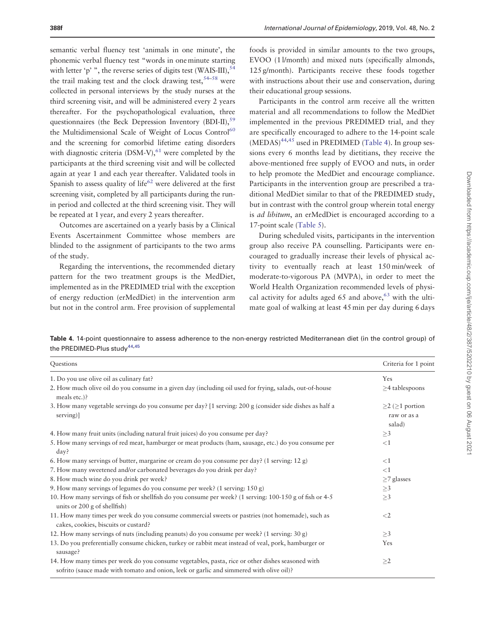<span id="page-7-0"></span>semantic verbal fluency test 'animals in one minute', the phonemic verbal fluency test "words in one minute starting with letter 'p' ", the reverse series of digits test (WAIS-III),  $54$ the trail making test and the clock drawing test,  $54-58$  were collected in personal interviews by the study nurses at the third screening visit, and will be administered every 2 years thereafter. For the psychopathological evaluation, three questionnaires (the Beck Depression Inventory  $(BDI-II)$ ,<sup>[59](#page-15-0)</sup> the Multidimensional Scale of Weight of Locus Control<sup>[60](#page-15-0)</sup> and the screening for comorbid lifetime eating disorders with diagnostic criteria  $(DSM-V)$ , <sup>61</sup> were completed by the participants at the third screening visit and will be collected again at year 1 and each year thereafter. Validated tools in Spanish to assess quality of life<sup>[62](#page-15-0)</sup> were delivered at the first screening visit, completed by all participants during the runin period and collected at the third screening visit. They will be repeated at 1 year, and every 2 years thereafter.

Outcomes are ascertained on a yearly basis by a Clinical Events Ascertainment Committee whose members are blinded to the assignment of participants to the two arms of the study.

Regarding the interventions, the recommended dietary pattern for the two treatment groups is the MedDiet, implemented as in the PREDIMED trial with the exception of energy reduction (erMedDiet) in the intervention arm but not in the control arm. Free provision of supplemental

foods is provided in similar amounts to the two groups, EVOO (1 l/month) and mixed nuts (specifically almonds, 125 g/month). Participants receive these foods together with instructions about their use and conservation, during their educational group sessions.

Participants in the control arm receive all the written material and all recommendations to follow the MedDiet implemented in the previous PREDIMED trial, and they are specifically encouraged to adhere to the 14-point scale  $(MEDAS)^{44,45}$  $(MEDAS)^{44,45}$  $(MEDAS)^{44,45}$  $(MEDAS)^{44,45}$  $(MEDAS)^{44,45}$  used in PREDIMED (Table 4). In group sessions every 6 months lead by dietitians, they receive the above-mentioned free supply of EVOO and nuts, in order to help promote the MedDiet and encourage compliance. Participants in the intervention group are prescribed a traditional MedDiet similar to that of the PREDIMED study, but in contrast with the control group wherein total energy is ad libitum, an erMedDiet is encouraged according to a 17-point scale [\(Table 5](#page-8-0)).

During scheduled visits, participants in the intervention group also receive PA counselling. Participants were encouraged to gradually increase their levels of physical activity to eventually reach at least 150 min/week of moderate-to-vigorous PA (MVPA), in order to meet the World Health Organization recommended levels of physical activity for adults aged 65 and above,  $63$  with the ultimate goal of walking at least 45 min per day during 6 days

Table 4. 14-point questionnaire to assess adherence to the non-energy restricted Mediterranean diet (in the control group) of the PREDIMED-Plus study<sup>[44](#page-15-0),[45](#page-15-0)</sup>

| Questions                                                                                                                                                                                   | Criteria for 1 point                                 |
|---------------------------------------------------------------------------------------------------------------------------------------------------------------------------------------------|------------------------------------------------------|
| 1. Do you use olive oil as culinary fat?                                                                                                                                                    | Yes                                                  |
| 2. How much olive oil do you consume in a given day (including oil used for frying, salads, out-of-house<br>meals etc.)?                                                                    | $\geq$ 4 tablespoons                                 |
| 3. How many vegetable servings do you consume per day? [1 serving: 200 g (consider side dishes as half a<br>serving)]                                                                       | $\geq$ 2 ( $\geq$ 1 portion<br>raw or as a<br>salad) |
| 4. How many fruit units (including natural fruit juices) do you consume per day?                                                                                                            | $\geq$ 3                                             |
| 5. How many servings of red meat, hamburger or meat products (ham, sausage, etc.) do you consume per<br>day?                                                                                | <1                                                   |
| 6. How many servings of butter, margarine or cream do you consume per day? (1 serving: 12 g)                                                                                                | $<$ 1                                                |
| 7. How many sweetened and/or carbonated beverages do you drink per day?                                                                                                                     | <1                                                   |
| 8. How much wine do you drink per week?                                                                                                                                                     | $\geq$ 7 glasses                                     |
| 9. How many servings of legumes do you consume per week? (1 serving: 150 g)                                                                                                                 | $\geq$ 3                                             |
| 10. How many servings of fish or shellfish do you consume per week? (1 serving: 100-150 g of fish or 4-5<br>units or $200$ g of shellfish)                                                  | $\geq$ 3                                             |
| 11. How many times per week do you consume commercial sweets or pastries (not homemade), such as<br>cakes, cookies, biscuits or custard?                                                    | $\leq$ 2                                             |
| 12. How many servings of nuts (including peanuts) do you consume per week? (1 serving: 30 g)                                                                                                | $\geq$ 3                                             |
| 13. Do you preferentially consume chicken, turkey or rabbit meat instead of veal, pork, hamburger or<br>sausage?                                                                            | Yes                                                  |
| 14. How many times per week do you consume vegetables, pasta, rice or other dishes seasoned with<br>sofrito (sauce made with tomato and onion, leek or garlic and simmered with olive oil)? | $\geq$ 2                                             |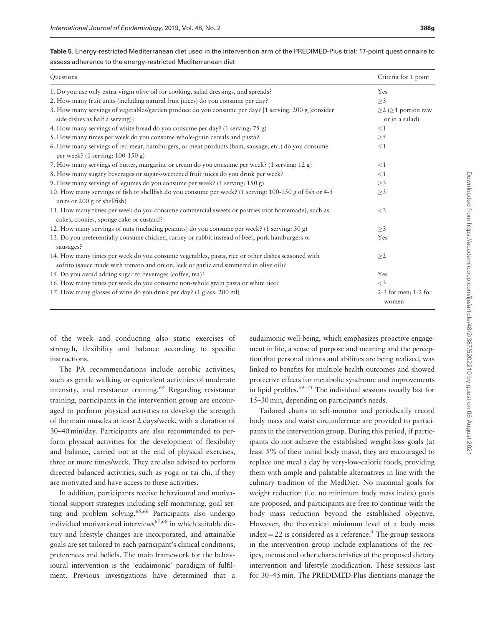<span id="page-8-0"></span>Table 5. Energy-restricted Mediterranean diet used in the intervention arm of the PREDIMED-Plus trial: 17-point questionnaire to assess adherence to the energy-restricted Mediterranean diet

| Questions                                                                                                                                                                                 | Criteria for 1 point                      |
|-------------------------------------------------------------------------------------------------------------------------------------------------------------------------------------------|-------------------------------------------|
| 1. Do you use only extra-virgin olive oil for cooking, salad dressings, and spreads?                                                                                                      | Yes                                       |
| 2. How many fruit units (including natural fruit juices) do you consume per day?                                                                                                          | $\geq$ 3                                  |
| 3. How many servings of vegetables/garden produce do you consume per day? [1 serving: 200 g (consider<br>side dishes as half a serving)]                                                  | $>2$ ( $>1$ portion raw<br>or in a salad) |
| 4. How many servings of white bread do you consume per day? (1 serving: 75 g)                                                                                                             | ${\leq}1$                                 |
| 5. How many times per week do you consume whole-grain cereals and pasta?                                                                                                                  | ${\geq}5$                                 |
| 6. How many servings of red meat, hamburgers, or meat products (ham, sausage, etc.) do you consume<br>per week? $(1$ serving: $100-150$ g)                                                | ${\leq}1$                                 |
| 7. How many servings of butter, margarine or cream do you consume per week? (1 serving: 12 g)                                                                                             | $<$ 1                                     |
| 8. How many sugary beverages or sugar-sweetened fruit juices do you drink per week?                                                                                                       | <1                                        |
| 9. How many servings of legumes do you consume per week? (1 serving: 150 g)                                                                                                               | $\geq$ 3                                  |
| 10. How many servings of fish or shellfish do you consume per week? (1 serving: 100-150 g of fish or 4-5<br>units or 200 g of shellfish)                                                  | $\geq$ 3                                  |
| 11. How many times per week do you consume commercial sweets or pastries (not homemade), such as<br>cakes, cookies, sponge cake or custard?                                               | $\leq$ 3                                  |
| 12. How many servings of nuts (including peanuts) do you consume per week? (1 serving: 30 g)                                                                                              | $\geq$ 3                                  |
| 13. Do you preferentially consume chicken, turkey or rabbit instead of beef, pork hamburgers or<br>sausages?                                                                              | Yes                                       |
| 14. How many times per week do you consume vegetables, pasta, rice or other dishes seasoned with<br>sofrito (sauce made with tomato and onion, leek or garlic and simmered in olive oil)? | $\geq$ 2                                  |
| 15. Do you avoid adding sugar to beverages (coffee, tea)?                                                                                                                                 | Yes                                       |
| 16. How many times per week do you consume non-whole grain pasta or white rice?                                                                                                           | $\langle$ 3                               |
| 17. How many glasses of wine do you drink per day? (1 glass: 200 ml)                                                                                                                      | 2-3 for men; $1-2$ for<br>women           |

of the week and conducting also static exercises of strength, flexibility and balance according to specific instructions.

The PA recommendations include aerobic activities, such as gentle walking or equivalent activities of moderate intensity, and resistance training.<sup>[64](#page-15-0)</sup> Regarding resistance training, participants in the intervention group are encouraged to perform physical activities to develop the strength of the main muscles at least 2 days/week, with a duration of 30–40 min/day. Participants are also recommended to perform physical activities for the development of flexibility and balance, carried out at the end of physical exercises, three or more times/week. They are also advised to perform directed balanced activities, such as yoga or tai chi, if they are motivated and have access to these activities.

In addition, participants receive behavioural and motivational support strategies including self-monitoring, goal set-ting and problem solving.<sup>65,[66](#page-15-0)</sup> Participants also undergo individual motivational interviews $67,68$  $67,68$  in which suitable dietary and lifestyle changes are incorporated, and attainable goals are set tailored to each participant's clinical conditions, preferences and beliefs. The main framework for the behavioural intervention is the 'eudaimonic' paradigm of fulfilment. Previous investigations have determined that a eudaimonic well-being, which emphasizes proactive engagement in life, a sense of purpose and meaning and the perception that personal talents and abilities are being realized, was linked to benefits for multiple health outcomes and showed protective effects for metabolic syndrome and improvements in lipid profiles. $69-71$  $69-71$  The individual sessions usually last for 15–30 min, depending on participant's needs.

Tailored charts to self-monitor and periodically record body mass and waist circumference are provided to participants in the intervention group. During this period, if participants do not achieve the established weight-loss goals (at least 5% of their initial body mass), they are encouraged to replace one meal a day by very-low-calorie foods, providing them with ample and palatable alternatives in line with the culinary tradition of the MedDiet. No maximal goals for weight reduction (i.e. no minimum body mass index) goals are proposed, and participants are free to continue with the body mass reduction beyond the established objective. However, the theoretical minimum level of a body mass index  $= 22$  is considered as a reference.<sup>4</sup> The group sessions in the intervention group include explanations of the recipes, menus and other characteristics of the proposed dietary intervention and lifestyle modification. These sessions last for 30–45 min. The PREDIMED-Plus dietitians manage the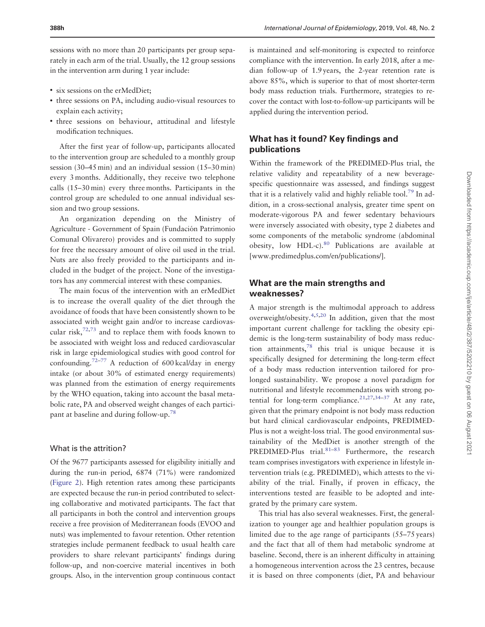<span id="page-9-0"></span>sessions with no more than 20 participants per group separately in each arm of the trial. Usually, the 12 group sessions in the intervention arm during 1 year include:

- six sessions on the erMedDiet;
- three sessions on PA, including audio-visual resources to explain each activity;
- three sessions on behaviour, attitudinal and lifestyle modification techniques.

After the first year of follow-up, participants allocated to the intervention group are scheduled to a monthly group session (30–45 min) and an individual session (15–30 min) every 3 months. Additionally, they receive two telephone calls (15–30 min) every three months. Participants in the control group are scheduled to one annual individual session and two group sessions.

An organization depending on the Ministry of Agriculture - Government of Spain (Fundación Patrimonio Comunal Olivarero) provides and is committed to supply for free the necessary amount of olive oil used in the trial. Nuts are also freely provided to the participants and included in the budget of the project. None of the investigators has any commercial interest with these companies.

The main focus of the intervention with an erMedDiet is to increase the overall quality of the diet through the avoidance of foods that have been consistently shown to be associated with weight gain and/or to increase cardiovascular risk, $72,73$  $72,73$  and to replace them with foods known to be associated with weight loss and reduced cardiovascular risk in large epidemiological studies with good control for confounding.<sup>[72–](#page-15-0)[77](#page-16-0)</sup> A reduction of 600 kcal/day in energy intake (or about 30% of estimated energy requirements) was planned from the estimation of energy requirements by the WHO equation, taking into account the basal metabolic rate, PA and observed weight changes of each participant at baseline and during follow-up.[78](#page-16-0)

#### What is the attrition?

Of the 9677 participants assessed for eligibility initially and during the run-in period, 6874 (71%) were randomized [\(Figure 2](#page-10-0)). High retention rates among these participants are expected because the run-in period contributed to selecting collaborative and motivated participants. The fact that all participants in both the control and intervention groups receive a free provision of Mediterranean foods (EVOO and nuts) was implemented to favour retention. Other retention strategies include permanent feedback to usual health care providers to share relevant participants' findings during follow-up, and non-coercive material incentives in both groups. Also, in the intervention group continuous contact is maintained and self-monitoring is expected to reinforce compliance with the intervention. In early 2018, after a median follow-up of 1.9 years, the 2-year retention rate is above 85%, which is superior to that of most shorter-term body mass reduction trials. Furthermore, strategies to recover the contact with lost-to-follow-up participants will be applied during the intervention period.

# What has it found? Key findings and publications

Within the framework of the PREDIMED-Plus trial, the relative validity and repeatability of a new beveragespecific questionnaire was assessed, and findings suggest that it is a relatively valid and highly reliable tool.<sup>79</sup> In addition, in a cross-sectional analysis, greater time spent on moderate-vigorous PA and fewer sedentary behaviours were inversely associated with obesity, type 2 diabetes and some components of the metabolic syndrome (abdominal obesity, low HDL-c).<sup>[80](#page-16-0)</sup> Publications are available at [\[www.predimedplus.com/en/publications/\]](http://www.predimedplus.com/publicaciones/).

# What are the main strengths and weaknesses?

A major strength is the multimodal approach to address overweight/obesity.[4](#page-13-0),[5](#page-13-0),[20](#page-14-0) In addition, given that the most important current challenge for tackling the obesity epidemic is the long-term sustainability of body mass reduction attainments, $78$  this trial is unique because it is specifically designed for determining the long-term effect of a body mass reduction intervention tailored for prolonged sustainability. We propose a novel paradigm for nutritional and lifestyle recommendations with strong po-tential for long-term compliance.<sup>[21](#page-14-0),[27](#page-14-0),[34–37](#page-14-0)</sup> At any rate, given that the primary endpoint is not body mass reduction but hard clinical cardiovascular endpoints, PREDIMED-Plus is not a weight-loss trial. The good environmental sustainability of the MedDiet is another strength of the PREDIMED-Plus trial.<sup>[81](#page-16-0)-[83](#page-16-0)</sup> Furthermore, the research team comprises investigators with experience in lifestyle intervention trials (e.g. PREDIMED), which attests to the viability of the trial. Finally, if proven in efficacy, the interventions tested are feasible to be adopted and integrated by the primary care system.

This trial has also several weaknesses. First, the generalization to younger age and healthier population groups is limited due to the age range of participants (55–75 years) and the fact that all of them had metabolic syndrome at baseline. Second, there is an inherent difficulty in attaining a homogeneous intervention across the 23 centres, because it is based on three components (diet, PA and behaviour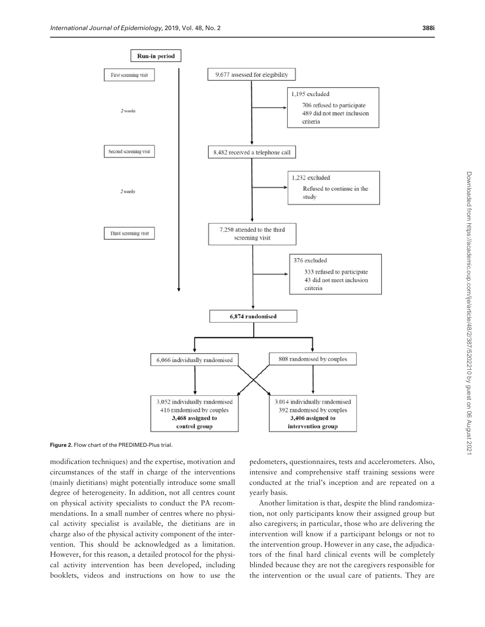<span id="page-10-0"></span>

Figure 2. Flow chart of the PREDIMED-Plus trial.

modification techniques) and the expertise, motivation and circumstances of the staff in charge of the interventions (mainly dietitians) might potentially introduce some small degree of heterogeneity. In addition, not all centres count on physical activity specialists to conduct the PA recommendations. In a small number of centres where no physical activity specialist is available, the dietitians are in charge also of the physical activity component of the intervention. This should be acknowledged as a limitation. However, for this reason, a detailed protocol for the physical activity intervention has been developed, including booklets, videos and instructions on how to use the

pedometers, questionnaires, tests and accelerometers. Also, intensive and comprehensive staff training sessions were conducted at the trial's inception and are repeated on a yearly basis.

Another limitation is that, despite the blind randomization, not only participants know their assigned group but also caregivers; in particular, those who are delivering the intervention will know if a participant belongs or not to the intervention group. However in any case, the adjudicators of the final hard clinical events will be completely blinded because they are not the caregivers responsible for the intervention or the usual care of patients. They are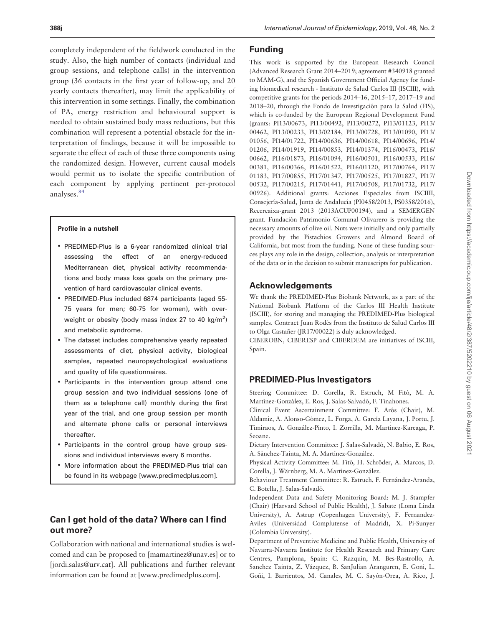<span id="page-11-0"></span>completely independent of the fieldwork conducted in the study. Also, the high number of contacts (individual and group sessions, and telephone calls) in the intervention group (36 contacts in the first year of follow-up, and 20 yearly contacts thereafter), may limit the applicability of this intervention in some settings. Finally, the combination of PA, energy restriction and behavioural support is needed to obtain sustained body mass reductions, but this combination will represent a potential obstacle for the interpretation of findings, because it will be impossible to separate the effect of each of these three components using the randomized design. However, current causal models would permit us to isolate the specific contribution of each component by applying pertinent per-protocol analyses.[84](#page-16-0)

#### Profile in a nutshell

- PREDIMED-Plus is a 6-year randomized clinical trial assessing the effect of an energy-reduced Mediterranean diet, physical activity recommendations and body mass loss goals on the primary prevention of hard cardiovascular clinical events.
- PREDIMED-Plus included 6874 participants (aged 55- 75 years for men; 60-75 for women), with overweight or obesity (body mass index 27 to 40 kg/m<sup>2</sup>) and metabolic syndrome.
- The dataset includes comprehensive yearly repeated assessments of diet, physical activity, biological samples, repeated neuropsychological evaluations and quality of life questionnaires.
- Participants in the intervention group attend one group session and two individual sessions (one of them as a telephone call) monthly during the first year of the trial, and one group session per month and alternate phone calls or personal interviews thereafter.
- Participants in the control group have group sessions and individual interviews every 6 months.
- More information about the PREDIMED-Plus trial can be found in its webpage [\[www.predimedplus.com\].](http://www.predimedplus.com])

# Can I get hold of the data? Where can I find out more?

Collaboration with national and international studies is welcomed and can be proposed to [mamartinez@unav.es] or to [jordi.salas@urv.cat]. All publications and further relevant information can be found at [[www.predimedplus.com](http://www.predimedplus.com)].

### Funding

This work is supported by the European Research Council (Advanced Research Grant 2014–2019; agreement #340918 granted to MAM-G), and the Spanish Government Official Agency for funding biomedical research - Instituto de Salud Carlos III (ISCIII), with competitive grants for the periods 2014–16, 2015–17, 2017–19 and 2018–20, through the Fondo de Investigación para la Salud (FIS), which is co-funded by the European Regional Development Fund (grants: PI13/00673, PI13/00492, PI13/00272, PI13/01123, PI13/ 00462, PI13/00233, PI13/02184, PI13/00728, PI13/01090, PI13/ 01056, PI14/01722, PI14/00636, PI14/00618, PI14/00696, PI14/ 01206, PI14/01919, PI14/00853, PI14/01374, PI16/00473, PI16/ 00662, PI16/01873, PI16/01094, PI16/00501, PI16/00533, PI16/ 00381, PI16/00366, PI16/01522, PI16/01120, PI17/00764, PI17/ 01183, PI17/00855, PI17/01347, PI17/00525, PI17/01827, PI17/ 00532, PI17/00215, PI17/01441, PI17/00508, PI17/01732, PI17/ 00926). Additional grants: Acciones Especiales from ISCIIII, Consejería-Salud, Junta de Andalucía (PI0458/2013, PS0358/2016), Recercaixa-grant 2013 (2013ACUP00194), and a SEMERGEN grant. Fundación Patrimonio Comunal Olivarero is providing the necessary amounts of olive oil. Nuts were initially and only partially provided by the Pistachios Growers and Almond Board of California, but most from the funding. None of these funding sources plays any role in the design, collection, analysis or interpretation of the data or in the decision to submit manuscripts for publication.

# Acknowledgements

We thank the PREDIMED-Plus Biobank Network, as a part of the National Biobank Platform of the Carlos III Health Institute (ISCIII), for storing and managing the PREDIMED-Plus biological samples. Contract Juan Rodés from the Instituto de Salud Carlos III to Olga Castañer (JR17/00022) is duly acknowledged.

CIBEROBN, CIBERESP and CIBERDEM are initiatives of ISCIII, Spain.

# PREDIMED-Plus Investigators

Steering Committee: D. Corella, R. Estruch, M Fitó, M. A. Martínez-González, E. Ros, J. Salas-Salvadó, F. Tinahones.

Clinical Event Ascertainment Committee: F. Arós (Chair), M. Aldamiz, A. Alonso-Gómez, L. Forga, A. García Layana, J. Portu, J. Timiraos, A. González-Pinto, I. Zorrilla, M. Martínez-Kareaga, P. Seoane.

Dietary Intervention Committee: J. Salas-Salvadó, N. Babio, E. Ros, A. Sánchez-Tainta, M. A. Martínez-González.

Physical Activity Committee: M. Fitó, H. Schröder, A. Marcos, D. Corella, J. Wärnberg, M. A. Martínez-González.

Behaviour Treatment Committee: R. Estruch, F. Fernández-Aranda, C. Botella, J. Salas-Salvadó.

Independent Data and Safety Monitoring Board: M. J. Stampfer (Chair) (Harvard School of Public Health), J. Sabate (Loma Linda University), A. Astrup (Copenhagen University), F. Fernandez-Aviles (Universidad Complutense of Madrid), X. Pi-Sunyer (Columbia University).

Department of Preventive Medicine and Public Health, University of Navarra-Navarra Institute for Health Research and Primary Care Centres, Pamplona, Spain: C. Razquin, M. Bes-Rastrollo, A. Sanchez Tainta, Z. Vázquez, B. SanJulian Aranguren, E. Goñi, L. Goñi, I. Barrientos, M. Canales, M. C. Sayón-Orea, A. Rico, J.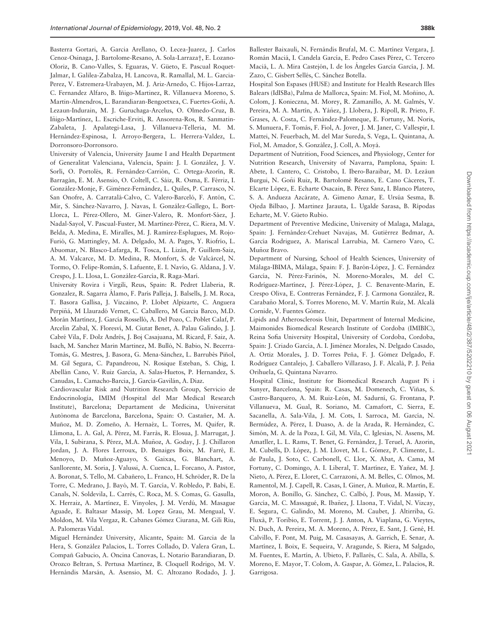Basterra Gortari, A. Garcia Arellano, O. Lecea-Juarez, J. Carlos Cenoz-Osinaga, J. Bartolome-Resano, A. Sola-Larraza†, E. Lozano-Oloriz, B. Cano-Valles, S. Eguaras, V. Güeto, E. Pascual Roquet-Jalmar, I. Galilea-Zabalza, H. Lancova, R. Ramallal, M. L. Garcia-Perez, V. Estremera-Urabayen, M. J. Ariz-Arnedo, C. Hijos-Larraz, C. Fernandez Alfaro, B. Iñigo-Martinez, R. Villanueva Moreno, S. Martin-Almendros, L. Barandiaran-Bengoetxea, C. Fuertes-Goñi, A. Lezaun-Indurain, M. J. Guruchaga-Arcelus, O. Olmedo-Cruz, B. Iñigo-Martínez, L. Escriche-Erviti, R. Ansorena-Ros, R. Sanmatin-Zabaleta, J. Apalategi-Lasa, J. Villanueva-Telleria, M. M. Hernández-Espinosa, I. Arroyo-Bergera, L. Herrera-Valdez, L. Dorronsoro-Dorronsoro.

University of Valencia, University Jaume I and Health Department of Generalitat Valenciana, Valencia, Spain: J. I. González, J. V. Sorlí, O. Portolés, R. Fernández-Carrión, C. Ortega-Azorín, R. Barragán, E. M. Asensio, O. Coltell, C. Sáiz, R. Osma, E. Férriz, I. González-Monje, F. Giménez-Fernández, L. Quiles, P. Carrasco, N. San Onofre, A. Carratalá-Calvo, C. Valero-Barceló, F. Antón, C. Mir, S. Sánchez-Navarro, J. Navas, I. González-Gallego, L. Bort-Llorca, L. Pérez-Ollero, M. Giner-Valero, R. Monfort-Sáez, J. Nadal-Sayol, V. Pascual-Fuster, M. Martínez-Pérez, C. Riera, M. V. Belda, A. Medina, E. Miralles, M. J. Ramírez-Esplugues, M. Rojo-Furió, G. Mattingley, M. A. Delgado, M. A. Pages, Y. Riofrío, L. Abuomar, N. Blasco-Lafarga, R. Tosca, L. Lizán, P. Guillem-Saiz, A. M. Valcarce, M. D. Medina, R. Monfort, S. de Valcárcel, N. Tormo, O. Felipe-Román, S. Lafuente, E. I. Navío, G. Aldana, J. V. Crespo, J. L. Llosa, L. González-García, R. Raga-Marí.

University Rovira i Virgili, Reus, Spain: R. Pedret Llaberia, R. Gonzalez, R. Sagarra Álamo, F. París Palleja, J. Balsells, J. M. Roca, T. Basora Gallisa, J. Vizcaino, P. Llobet Alpizarte, C. Anguera Perpiñá, M Llauradó Vernet, C. Caballero, M Garcia Barco, M.D. Morán Martínez, J. García Rosselló, A. Del Pozo, C. Poblet Calaf, P. Arcelin Zabal, X. Floresví, M. Ciutat Benet, A. Palau Galindo, J. J. Cabré Vila, F. Dolz Andrés, J. Boj Casajuana, M. Ricard, F. Saiz, A. Isach, M. Sanchez Marin Martinez, M. Bulló, N. Babio, N. Becerra-Tomás, G. Mestres, J. Basora, G. Mena-Sánchez, L. Barrubés Piñol, M. Gil Segura, C. Papandreou, N. Rosique Esteban, S. Chig, I. Abellán Cano, V. Ruiz García, A. Salas-Huetos, P. Hernandez, S. Canudas, L. Camacho-Barcia, J. García-Gavilán, A. Diaz.

Cardiovascular Risk and Nutrition Research Group, Servicio de Endocrinología, IMIM (Hospital del Mar Medical Research Institute), Barcelona; Departament de Medicina, Universitat Autònoma de Barcelona, Barcelona, Spain: O. Castañer, M. A. Muñoz, M. D. Zomeño, A. Hernaéz, L. Torres, M. Quifer, R. Llimona, L. A. Gal, A. Pérez, M. Farràs, R. Elosua, J. Marrugat, J. Vila, I. Subirana, S. Pérez, M.A. Muñoz, A. Goday, J. J. Chillaron Jordan, J. A. Flores Lerroux, D. Benaiges Boix, M. Farré, E. Menoyo, D. Muñoz-Aguayo, S. Gaixas, G. Blanchart, A. Sanllorente, M. Soria, J. Valussi, A. Cuenca, L. Forcano, A. Pastor, A. Boronat, S. Tello, M. Cabañero, L. Franco, H. Schröder, R. De la Torre, C. Medrano, J. Bayó, M. T. García, V. Robledo, P. Babi, E. Canals, N. Soldevila, L. Carrés, C. Roca, M. S. Comas, G. Gasulla, X. Herraiz, A. Martínez, E. Vinyoles, J. M. Verdú, M. Masague Aguade, E. Baltasar Massip, M. Lopez Grau, M. Mengual, V. Moldon, M. Vila Vergaz, R. Cabanes Gómez Ciurana, M. Gili Riu, A. Palomeras Vidal.

Miguel Hernández University, Alicante, Spain: M. Garcia de la Hera, S. González Palacios, L. Torres Collado, D. Valera Gran, L. Compan Gabucio, A. Oncina Canovas, L. Notario Barandiaran, D. ~ Orozco Beltran, S. Pertusa Martínez, B. Cloquell Rodrigo, M. V. Hernándis Marsán, A. Asensio, M. C. Altozano Rodado, J. J.

Ballester Baixauli, N. Fernándis Brufal, M. C. Martínez Vergara, J. Román Maciá, I. Candela García, E. Pedro Cases Pérez, C. Tercero Maciá, L. A. Mira Castejón, I. de los Ángeles García García, J. M. Zazo, C. Gisbert Sellés, C. Sánchez Botella.

Hospital Son Espases (HUSE) and Institute for Health Research Illes Balears (IdISBa), Palma de Mallorca, Spain: M. Fiol, M. Moñino, A. Colom, J. Konieczna, M. Morey, R. Zamanillo, A. M. Galmés, V. Pereira, M. A. Martín, A. Yáñez, J. Llobera, J. Ripoll, R. Prieto, F. Grases, A. Costa, C. Fernández-Palomeque, E. Fortuny, M. Noris, S. Munuera, F. Tomás, F. Fiol, A. Jover, J. M. Janer, C. Vallespir, I. Mattei, N. Feuerbach, M. del Mar Sureda, S. Vega, L. Quintana, A. Fiol, M. Amador, S. González, J. Coll, A. Moyá.

Department of Nutrition, Food Sciences, and Physiology, Center for Nutrition Research, University of Navarra, Pamplona, Spain: I. Abete, I. Cantero, C. Cristobo, I. Ibero-Baraibar, M. D. Lezáun Burgui, N. Goñi Ruiz, R. Bartolomé Resano, E. Cano Cáceres, T. Elcarte López, E. Echarte Osacain, B. Pérez Sanz, I. Blanco Platero, S. A. Andueza Azcárate, A. Gimeno Aznar, E. Ursúa Sesma, B. Ojeda Bilbao, J. Martinez Jarauta, L. Ugalde Sarasa, B. Rı´podas Echarte, M. V. Güeto Rubio.

Department of Preventive Medicine, University of Malaga, Malaga, Spain: J. Fernández-Crehuet Navajas, M. Gutiérrez Bedmar, A. García Rodriguez, A. Mariscal Larrubia, M. Carnero Varo, C. Muñoz Bravo.

Department of Nursing, School of Health Sciences, University of Málaga-IBIMA, Málaga, Spain: F. J. Barón-López, J. C. Fernández García, N. Pérez-Farinós, N. Moreno-Morales, M. del C. Rodríguez-Martínez, J. Pérez-López, J. C. Benavente-Marín, E. Crespo Oliva, E. Contreras Fernández, F. J. Carmona González, R. Carabaño Moral, S. Torres Moreno, M. V. Martín Ruíz, M. Alcalá Cornide, V. Fuentes Gómez.

Lipids and Atherosclerosis Unit, Department of Internal Medicine, Maimonides Biomedical Research Institute of Cordoba (IMIBIC), Reina Sofia University Hospital, University of Cordoba, Cordoba, Spain: J. Criado García, A. I. Jiménez Morales, N. Delgado Casado, A. Ortiz Morales, J. D. Torres Peña, F. J. Gómez Delgado, F. Rodríguez Cantalejo, J. Caballero Villaraso, J. F. Alcalá, P. J. Peña Orihuela, G. Quintana Navarro.

Hospital Clinic, Institute for Biomedical Research August Pi i Sunyer, Barcelona, Spain: R. Casas, M. Domenech, C. Viñas, S. Castro-Barquero, A. M. Ruiz-León, M. Sadurní, G. Frontana, P. Villanueva, M. Gual, R. Soriano, M. Camafort, C. Sierra, E. Sacanella, A. Sala-Vila, J. M. Cots, I. Sarroca, M. García, N. Bermúdez, A. Pérez, I. Duaso, A. de la Arada, R. Hernández, C. Simón, M. A. de la Poza, I. Gil, M. Vila, C. Iglesias, N. Assens, M. Amatller, L. L. Rams, T. Benet, G. Fernández, J. Teruel, A. Azorin, M. Cubells, D. López, J. M. Llovet, M. L. Gómez, P. Climente, L. de Paula, J. Soto, C. Carbonell, C. Llor, X. Abat, A. Cama, M Fortuny, C. Domingo, A. I. Liberal, T. Martínez, E. Yañez, M. J. Nieto, A. Pérez, E. Lloret, C. Carrazoni, A. M. Belles, C. Olmos, M. Ramentol, M. J. Capell, R. Casas, I. Giner, A. Muñoz, R. Martín, E. Moron, A. Bonillo, G. Sánchez, C. Calbó, J. Pous, M. Massip, Y. García, M. C. Massagué, R. Ibañez, J. Llaona, T. Vidal, N. Vizcay, E. Segura, C. Galindo, M. Moreno, M. Caubet, J. Altirriba, G. Fluxa`, P. Toribio, E. Torrent, J. J. Anton, A. Viaplana, G. Vieytes, N. Duch, A. Pereira, M. A. Moreno, A. Pérez, E. Sant, J. Gené, H. Calvillo, F. Pont, M. Puig, M. Casasayas, A. Garrich, E. Senar, A. Martínez, I. Boix, E. Sequeira, V. Aragunde, S. Riera, M Salgado, M. Fuentes, E. Martín, A. Ubieto, F. Pallarés, C. Sala, A. Abilla, S. Moreno, E. Mayor, T. Colom, A. Gaspar, A. Gómez, L. Palacios, R. Garrigosa.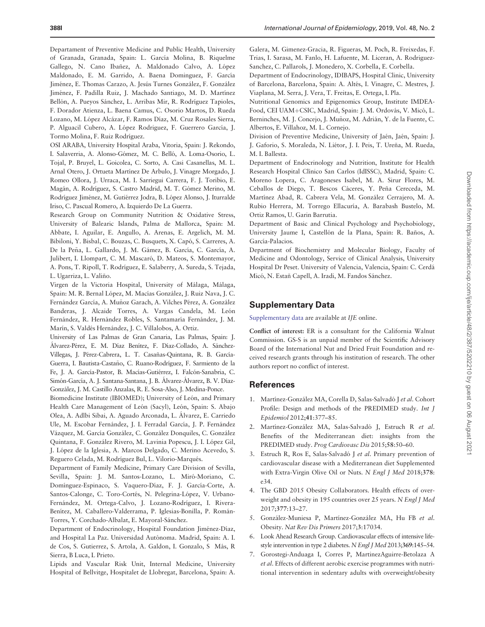<span id="page-13-0"></span>Departament of Preventive Medicine and Public Health, University of Granada, Granada, Spain: L. García Molina, B. Riquelme Gallego, N. Cano Ibañez, A. Maldonado Calvo, A. López Maldonado, E. M. Garrido, A. Baena Dominguez, F. García Jiménez, E. Thomas Carazo, A. Jesús Turnes González, F. González Jiménez, F. Padilla Ruiz, J. Machado Santiago, M. D. Martínez Bellón, A. Pueyos Sánchez, L. Arribas Mir, R. Rodríguez Tapioles, F. Dorador Atienza, L. Baena Camus, C. Osorio Martos, D. Rueda Lozano, M. López Alcázar, F. Ramos Díaz, M. Cruz Rosales Sierra, P. Alguacil Cubero, A. López Rodriguez, F. Guerrero García, J. Tormo Molina, F. Ruiz Rodríguez.

OSI ARABA, University Hospital Araba, Vitoria, Spain: J. Rekondo, I. Salaverria, A. Alonso-Gómez, M. C. Belló, A. Loma-Osorio, L. Tojal, P. Bruyel, L. Goicolea, C. Sorto, A. Casi Casanellas, M. L. Arnal Otero, J. Ortueta Martínez De Arbulo, J. Vinagre Morgado, J. Romeo Ollora, J. Urraca, M. I. Sarriegui Carrera, F. J. Toribio, E. Magán, A. Rodríguez, S. Castro Madrid, M. T. Gómez Merino, M. Rodríguez Jiménez, M. Gutiérrez Jodra, B. López Alonso, J. Iturralde Iriso, C. Pascual Romero, A. Izquierdo De La Guerra.

Research Group on Community Nutrition & Oxidative Stress, University of Balearic Islands, Palma de Mallorca, Spain: M. Abbate, I. Aguilar, E. Angullo, A. Arenas, E. Argelich, M. M. Bibiloni, Y. Bisbal, C. Bouzas, C. Busquets, X. Capó, S. Carreres, A. De la Peña, L. Gallardo, J. M. Gámez, B. García, C. García, A. Julibert, I. Llompart, C. M. Mascaró, D. Mateos, S. Montemayor, A. Pons, T. Ripoll, T. Rodríguez, E. Salaberry, A. Sureda, S. Tejada, L. Ugarriza, L. Valiño.

Virgen de la Victoria Hospital, University of Málaga, Málaga, Spain: M. R. Bernal López, M. Macías González, J. Ruiz Nava, J. C. Fernández García, A. Muñoz Garach, A. Vilches Pérez, A. González Banderas, J. Alcaide Torres, A. Vargas Candela, M. León Fernández, R. Hernández Robles, S. Santamaría Fernández, J. M. Marín, S. Valdés Hernández, J. C. Villalobos, A. Ortiz.

University of Las Palmas de Gran Canaria, Las Palmas, Spain: J. Álvarez-Pérez, E. M. Díaz Benítez, F. Díaz-Collado, A. Sánchez-Villegas, J. Pérez-Cabrera, L. T. Casañas-Quintana, R. B. García-Guerra, I. Bautista-Castaño, C. Ruano-Rodríguez, F. Sarmiento de la Fe, J. A. García-Pastor, B. Macías-Gutiérrez, I. Falcón-Sanabria, C. Simón-García, A. J. Santana-Santana, J. B. Álvarez-Álvarez, B. V. Díaz-Gonza´lez, J. M. Castillo Anzalas, R. E. Sosa-Also, J. Medina-Ponce.

Biomedicine Institute (IBIOMED); University of León, and Primary Health Care Management of León (Sacyl), León, Spain: S. Abajo Olea, A. Adlbi Sibai, A. Aguado Arconada, L. Álvarez, E. Carriedo Ule, M. Escobar Fernández, J. I. Ferradal García, J. P. Fernández Vázquez, M. García González, C. González Donquiles, C. González Quintana, F. González Rivero, M. Lavinia Popescu, J. I. López Gil, J. López de la Iglesia, A. Marcos Delgado, C. Merino Acevedo, S. Reguero Celada, M. Rodríguez Bul, L. Vilorio-Marqués.

Department of Family Medicine, Primary Care Division of Sevilla, Sevilla, Spain: J. M. Santos-Lozano, L. Miró-Moriano, C. Domínguez-Espinaco, S. Vaquero-Díaz, F. J. García-Corte, A. Santos-Calonge, C. Toro-Cortés, N. Pelegrina-López, V. Urbano-Fernández, M. Ortega-Calvo, J. Lozano-Rodríguez, I. Rivera-Benítez, M. Caballero-Valderrama, P. Iglesias-Bonilla, P. Román-Torres, Y. Corchado-Albalat, E. Mayoral-Sánchez.

Department of Endocrinology, Hospital Foundation Jiménez-Díaz, and Hospital La Paz. Universidad Autónoma. Madrid, Spain: A. I. de Cos, S. Gutierrez, S. Artola, A. Galdon, I. Gonzalo, S Más, R Sierra, B Luca, L Prieto.

Lipids and Vascular Risk Unit, Internal Medicine, University Hospital of Bellvitge, Hospitalet de Llobregat, Barcelona, Spain: A.

Galera, M. Gimenez-Gracia, R. Figueras, M. Poch, R. Freixedas, F. Trias, I. Sarasa, M. Fanlo, H. Lafuente, M. Liceran, A. Rodriguez-Sanchez, C. Pallarols, J. Monedero, X. Corbella, E. Corbella.

Department of Endocrinology, IDIBAPS, Hospital Clinic, University of Barcelona, Barcelona, Spain: A. Altés, I. Vinagre, C. Mestres, J. Viaplana, M. Serra, J. Vera, T. Freitas, E. Ortega, I. Pla.

Nutritional Genomics and Epigenomics Group, Institute IMDEA-Food, CEI UAM+CSIC, Madrid, Spain: J. M. Ordovás, V. Micó, L. Berninches, M. J. Concejo, J. Muñoz, M. Adrián, Y. de la Fuente, C. Albertos, E. Villahoz, M. L. Cornejo.

Division of Preventive Medicine, University of Jaén, Jaén, Spain: J. J. Gaforio, S. Moraleda, N. Liétor, J. I. Peis, T. Ureña, M. Rueda, M. I. Ballesta.

Department of Endocrinology and Nutrition, Institute for Health Research Hospital Clínico San Carlos (IdISSC), Madrid, Spain: C. Moreno Lopera, C. Aragoneses Isabel, M. A. Sirur Flores, M. Ceballos de Diego, T. Bescos Cáceres, Y. Peña Cereceda, M. Martínez Abad, R. Cabrera Vela, M. González Cerrajero, M. A. Rubio Herrera, M. Torrego Ellacuría, A. Barabash Bustelo, M. Ortiz Ramos, U. Garin Barrutia.

Department of Basic and Clinical Psychology and Psychobiology, University Jaume I, Castellón de la Plana, Spain: R. Baños, A. García-Palacios.

Department of Biochemistry and Molecular Biology, Faculty of Medicine and Odontology, Service of Clinical Analysis, University Hospital Dr Peset. University of Valencia, Valencia, Spain: C. Cerda´ Micó, N. Estañ Capell, A. Iradi, M. Fandos Sánchez.

# Supplementary Data

[Supplementary data](https://academic.oup.com/ije/article-lookup/doi/10.1093/ije/dyy225#supplementary-data) are available at IJE online.

Conflict of interest: ER is a consultant for the California Walnut Commission. GS-S is an unpaid member of the Scientific Advisory Board of the International Nut and Dried Fruit Foundation and received research grants through his institution of research. The other authors report no conflict of interest.

# References

- [1.](#page-4-0) Martínez-González MA, Corella D, Salas-Salvadó J et al. Cohort Profile: Design and methods of the PREDIMED study. Int J Epidemiol 2012;41:377–85.
- [2.](#page-1-0) Martínez-González MA, Salas-Salvadó J, Estruch R et al. Benefits of the Mediterranean diet: insights from the PREDIMED study. Prog Cardiovasc Dis 2015;58:50–60.
- [3.](#page-1-0) Estruch R, Ros E, Salas-Salvadó J et al. Primary prevention of cardiovascular disease with a Mediterranean diet Supplemented with Extra-Virgin Olive Oil or Nuts. N Engl J Med 2018;378: e34.
- [4.](#page-1-0) The GBD 2015 Obesity Collaborators. Health effects of overweight and obesity in 195 countries over 25 years. N Engl J Med 2017;377:13–27.
- [5.](#page-1-0) González-Muniesa P, Martínez-González MA, Hu FB et al. Obesity. Nat Rev Dis Primers 2017;3:17034.
- [6.](#page-1-0) Look Ahead Research Group. Cardiovascular effects of intensive lifestyle intervention in type 2 diabetes. N Engl J Med 2013;369:145–54.
- [7.](#page-1-0) Gorostegi-Anduaga I, Corres P, MartinezAguirre-Betolaza A et al. Effects of different aerobic exercise programmes with nutritional intervention in sedentary adults with overweight/obesity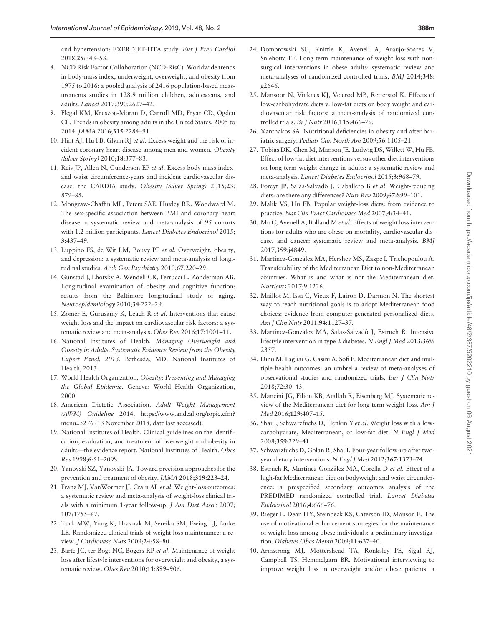<span id="page-14-0"></span>and hypertension: EXERDIET-HTA study. Eur J Prev Cardiol 2018;25:343–53.

- [8.](#page-1-0) NCD Risk Factor Collaboration (NCD-RisC). Worldwide trends in body-mass index, underweight, overweight, and obesity from 1975 to 2016: a pooled analysis of 2416 population-based measurements studies in 128.9 million children, adolescents, and adults. Lancet 2017;390:2627–42.
- [9.](#page-1-0) Flegal KM, Kruszon-Moran D, Carroll MD, Fryar CD, Ogden CL. Trends in obesity among adults in the United States, 2005 to 2014. JAMA 2016;315:2284–91.
- 10. Flint AJ, Hu FB, Glynn RJ et al. Excess weight and the risk of incident coronary heart disease among men and women. Obesity (Silver Spring) 2010;18:377–83.
- 11. Reis JP, Allen N, Gunderson EP et al. Excess body mass indexand waist circumference-years and incident cardiovascular disease: the CARDIA study. Obesity (Silver Spring) 2015;23: 879–85.
- 12. Mongraw-Chaffin ML, Peters SAE, Huxley RR, Woodward M. The sex-specific association between BMI and coronary heart disease: a systematic review and meta-analysis of 95 cohorts with 1.2 million participants. Lancet Diabetes Endocrinol 2015; 3:437–49.
- 13. Luppino FS, de Wit LM, Bouvy PF et al. Overweight, obesity, and depression: a systematic review and meta-analysis of longitudinal studies. Arch Gen Psychiatry 2010;67:220–29.
- 14. Gunstad J, Lhotsky A, Wendell CR, Ferrucci L, Zonderman AB. Longitudinal examination of obesity and cognitive function: results from the Baltimore longitudinal study of aging. Neuroepidemiology 2010;34:222–29.
- [15.](#page-2-0) Zomer E, Gurusamy K, Leach R et al. Interventions that cause weight loss and the impact on cardiovascular risk factors: a systematic review and meta-analysis. Obes Rev 2016;17:1001–11.
- [16.](#page-2-0) National Institutes of Health. Managing Overweight and Obesity in Adults. Systematic Evidence Review from the Obesity Expert Panel, 2013. Bethesda, MD: National Institutes of Health, 2013.
- [17.](#page-2-0) World Health Organization. Obesity: Preventing and Managing the Global Epidemic. Geneva: World Health Organization, 2000.
- [18.](#page-2-0) American Dietetic Association. Adult Weight Management (AWM) Guideline 2014. [https://www.andeal.org/topic.cfm?](https://www.andeal.org/topic.cfm?menu=5276) [menu=5276](https://www.andeal.org/topic.cfm?menu=5276) (13 November 2018, date last accessed).
- [19.](#page-2-0) National Institutes of Health. Clinical guidelines on the identification, evaluation, and treatment of overweight and obesity in adults—the evidence report. National Institutes of Health. Obes Res 1998;6:51–209S.
- [20.](#page-2-0) Yanovski SZ, Yanovski JA. Toward precision approaches for the prevention and treatment of obesity. JAMA 2018;319:223–24.
- [21.](#page-2-0) Franz MJ, VanWormer JJ, Crain AL et al. Weight-loss outcomes: a systematic review and meta-analysis of weight-loss clinical trials with a minimum 1-year follow-up. J Am Diet Assoc 2007; 107:1755–67.
- 22. Turk MW, Yang K, Hravnak M, Sereika SM, Ewing LJ, Burke LE. Randomized clinical trials of weight loss maintenance: a review. J Cardiovasc Nurs 2009;24:58–80.
- 23. Barte JC, ter Bogt NC, Bogers RP et al. Maintenance of weight loss after lifestyle interventions for overweight and obesity, a systematic review. Obes Rev 2010;11:899–906.
- 24. Dombrowski SU, Knittle K, Avenell A, Araújo-Soares V, Sniehotta FF. Long term maintenance of weight loss with nonsurgical interventions in obese adults: systematic review and meta-analyses of randomized controlled trials. BMJ 2014;348: g2646.
- 25. Mansoor N, Vinknes KJ, Veierød MB, Retterstøl K. Effects of low-carbohydrate diets v. low-fat diets on body weight and cardiovascular risk factors: a meta-analysis of randomized controlled trials. Br J Nutr 2016;115:466–79.
- 26. Xanthakos SA. Nutritional deficiencies in obesity and after bariatric surgery. Pediatr Clin North Am 2009;56:1105–21.
- [27.](#page-9-0) Tobias DK, Chen M, Manson JE, Ludwig DS, Willett W, Hu FB. Effect of low-fat diet interventions versus other diet interventions on long-term weight change in adults: a systematic review and meta-analysis. Lancet Diabetes Endocrinol 2015;3:968–79.
- [28.](#page-2-0) Foreyt JP, Salas-Salvadó J, Caballero B et al. Weight-reducing diets: are there any differences? Nutr Rev 2009;67:S99–101.
- [29.](#page-2-0) Malik VS, Hu FB. Popular weight-loss diets: from evidence to practice. Nat Clin Pract Cardiovasc Med 2007;4:34–41.
- [30.](#page-2-0) Ma C, Avenell A, Bolland M et al. Effects of weight loss interventions for adults who are obese on mortality, cardiovascular disease, and cancer: systematic review and meta-analysis. BMJ 2017;359:j4849.
- [31.](#page-2-0) Martínez-González MA, Hershey MS, Zazpe I, Trichopoulou A. Transferability of the Mediterranean Diet to non-Mediterranean countries. What is and what is not the Mediterranean diet. Nutrients 2017;9:1226.
- 32. Maillot M, Issa C, Vieux F, Lairon D, Darmon N. The shortest way to reach nutritional goals is to adopt Mediterranean food choices: evidence from computer-generated personalized diets. Am J Clin Nutr 2011;94:1127–37.
- 33. Martínez-González MA, Salas-Salvadó J, Estruch R. Intensive lifestyle intervention in type 2 diabetes. N Engl J Med 2013;369: 2357.
- 34. Dinu M, Pagliai G, Casini A, Sofi F. Mediterranean diet and multiple health outcomes: an umbrella review of meta-analyses of observational studies and randomized trials. Eur J Clin Nutr 2018;72:30–43.
- [35.](#page-2-0) Mancini JG, Filion KB, Atallah R, Eisenberg MJ. Systematic review of the Mediterranean diet for long-term weight loss. Am J Med 2016;129:407–15.
- [36.](#page-2-0) Shai I, Schwarzfuchs D, Henkin Y et al. Weight loss with a lowcarbohydrate, Mediterranean, or low-fat diet. N Engl J Med 2008;359:229–41.
- [37.](#page-2-0) Schwarzfuchs D, Golan R, Shai I. Four-year follow-up after twoyear dietary interventions. N Engl J Med 2012;367:1373–74.
- [38.](#page-2-0) Estruch R, Martínez-González MA, Corella D et al. Effect of a high-fat Mediterranean diet on bodyweight and waist circumference: a prespecified secondary outcomes analysis of the PREDIMED randomized controlled trial. Lancet Diabetes Endocrinol 2016;4:666–76.
- [39.](#page-2-0) Rieger E, Dean HY, Steinbeck KS, Caterson ID, Manson E. The use of motivational enhancement strategies for the maintenance of weight loss among obese individuals: a preliminary investigation. Diabetes Obes Metab 2009;11:637–40.
- [40.](#page-2-0) Armstrong MJ, Mottershead TA, Ronksley PE, Sigal RJ, Campbell TS, Hemmelgarn BR. Motivational interviewing to improve weight loss in overweight and/or obese patients: a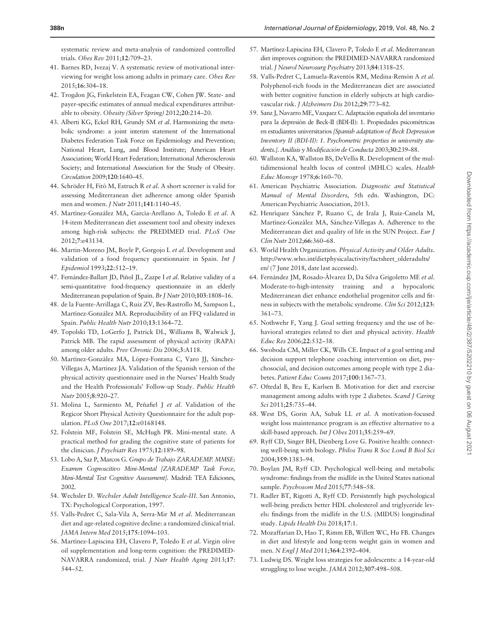<span id="page-15-0"></span>systematic review and meta-analysis of randomized controlled trials. Obes Rev 2011;12:709–23.

- [41.](#page-2-0) Barnes RD, Ivezaj V. A systematic review of motivational interviewing for weight loss among adults in primary care. Obes Rev 2015;16:304–18.
- [42.](#page-2-0) Trogdon JG, Finkelstein EA, Feagan CW, Cohen JW. State- and payer-specific estimates of annual medical expenditures attributable to obesity. Obesity (Silver Spring) 2012;20:214–20.
- [43.](#page-4-0) Alberti KG, Eckel RH, Grundy SM et al. Harmonizing the metabolic syndrome: a joint interim statement of the International Diabetes Federation Task Force on Epidemiology and Prevention; National Heart, Lung, and Blood Institute; American Heart Association; World Heart Federation; International Atherosclerosis Society; and International Association for the Study of Obesity. Circulation 2009;120:1640–45.
- [44.](#page-5-0) Schröder H, Fitó M, Estruch R et al. A short screener is valid for assessing Mediterranean diet adherence among older Spanish men and women. J Nutr 2011;141:1140–45.
- [45.](#page-5-0) Martínez-González MA, García-Arellano A, Toledo E et al. A 14-item Mediterranean diet assessment tool and obesity indexes among high-risk subjects: the PREDIMED trial. PLoS One 2012;7:e43134.
- [46.](#page-5-0) Martin-Moreno JM, Boyle P, Gorgojo L et al. Development and validation of a food frequency questionnaire in Spain. Int J Epidemiol 1993;22:512–19.
- 47. Fernández-Ballart JD, Piñol JL, Zazpe I et al. Relative validity of a semi-quantitative food-frequency questionnaire in an elderly Mediterranean population of Spain. Br J Nutr 2010;103:1808–16.
- [48.](#page-5-0) de la Fuente-Arrillaga C, Ruiz ZV, Bes-Rastrollo M, Sampson L, Martínez-González MA. Reproducibility of an FFQ validated in Spain. Public Health Nutr 2010;13:1364–72.
- [49.](#page-6-0) Topolski TD, LoGerfo J, Patrick DL, Williams B, Walwick J, Patrick MB. The rapid assessment of physical activity (RAPA) among older adults. Prev Chronic Dis 2006;3:A118.
- [50.](#page-6-0) Martínez-González MA, López-Fontana C, Varo JJ, Sánchez-Villegas A, Martinez JA. Validation of the Spanish version of the physical activity questionnaire used in the Nurses' Health Study and the Health Professionals' Follow-up Study. Public Health Nutr 2005;8:920–27.
- [51.](#page-6-0) Molina L, Sarmiento M, Peñafiel J  $~et~ al.$  Validation of the Regicor Short Physical Activity Questionnaire for the adult population. PLoS One 2017;12:e0168148.
- 52. Folstein MF, Folstein SE, McHugh PR. Mini-mental state. A practical method for grading the cognitive state of patients for the clinician. J Psychiatr Res 1975;12:189–98.
- 53. Lobo A, Saz P, Marcos G. Grupo de Trabajo ZARADEMP. MMSE: Examen Cognoscitivo Mini-Mental [ZARADEMP Task Force, Mini-Mental Test Cognitive Assessment]. Madrid: TEA Ediciones, 2002.
- [54.](#page-7-0) Wechsler D. Wechsler Adult Intelligence Scale-III. San Antonio, TX: Psychological Corporation, 1997.
- 55. Valls-Pedret C, Sala-Vila A, Serra-Mir M et al. Mediterranean diet and age-related cognitive decline: a randomized clinical trial. JAMA Intern Med 2015;175:1094–103.
- 56. Martínez-Lapiscina EH, Clavero P, Toledo E et al. Virgin olive oil supplementation and long-term cognition: the PREDIMED-NAVARRA randomized, trial. J Nutr Health Aging 2013;17: 544–52.
- 57. Martínez-Lapiscina EH, Clavero P, Toledo E et al. Mediterranean diet improves cognition: the PREDIMED-NAVARRA randomized trial. J Neurol Neurosurg Psychiatry 2013;84:1318–25.
- 58. Valls-Pedret C, Lamuela-Raventós RM, Medina-Remón A et al. Polyphenol-rich foods in the Mediterranean diet are associated with better cognitive function in elderly subjects at high cardiovascular risk. J Alzheimers Dis 2012;29:773–82.
- [59.](#page-7-0) Sanz J, Navarro ME, Vazquez C. Adaptación española del inventario para la depresión de Beck-II (BDI-II): 1. Propiedades psicométricas en estudiantes universitarios [Spanish adaptation of Beck Depression Inventory II (BDI-II): 1. Psychometric properties in university students.]. Análisis y Modificación de Conducta 2003;30:239-88.
- [60.](#page-7-0) Wallston KA, Wallston BS, DeVellis R. Development of the multidimensional health locus of control (MHLC) scales. Health Educ Monogr 1978;6:160–70.
- [61.](#page-7-0) American Psychiatric Association. Diagnostic and Statistical Manual of Mental Disorders, 5th edn. Washington, DC: American Psychiatric Association, 2013.
- [62.](#page-7-0) Henríquez Sánchez P, Ruano C, de Irala J, Ruiz-Canela M, Martínez-González MA, Sánchez-Villegas A. Adherence to the Mediterranean diet and quality of life in the SUN Project. Eur J Clin Nutr 2012;66:360–68.
- [63.](#page-7-0) World Health Organization. Physical Activity and Older Adults. [http://www.who.int/dietphysicalactivity/factsheet\\_olderadults/](http://www.who.int/dietphysicalactivity/factsheet_olderadults/en/) [en/](http://www.who.int/dietphysicalactivity/factsheet_olderadults/en/) (7 June 2018, date last accessed).
- [64.](#page-8-0) Fernández JM, Rosado-Álvarez D, Da Silva Grigoletto ME et al. Moderate-to-high-intensity training and a hypocaloric Mediterranean diet enhance endothelial progenitor cells and fitness in subjects with the metabolic syndrome. Clin Sci 2012;123: 361–73.
- [65.](#page-8-0) Nothwehr F, Yang J. Goal setting frequency and the use of behavioral strategies related to diet and physical activity. Health Educ Res 2006;22:532–38.
- [66.](#page-8-0) Swoboda CM, Miller CK, Wills CE. Impact of a goal setting and decision support telephone coaching intervention on diet, psychosocial, and decision outcomes among people with type 2 diabetes. Patient Educ Couns 2017;100:1367–73.
- [67.](#page-8-0) Oftedal B, Bru E, Karlsen B. Motivation for diet and exercise management among adults with type 2 diabetes. Scand J Caring Sci 2011;25:735–44.
- [68.](#page-8-0) West DS, Gorin AA, Subak LL et al. A motivation-focused weight loss maintenance program is an effective alternative to a skill-based approach. Int J Obes 2011;35:259–69.
- 69. Ryff CD, Singer BH, Dienberg Love G. Positive health: connecting well-being with biology. Philos Trans R Soc Lond B Biol Sci 2004;359:1383–94.
- 70. Boylan JM, Ryff CD. Psychological well-being and metabolic syndrome: findings from the midlife in the United States national sample. Psychosom Med 2015;77:548–58.
- 71. Radler BT, Rigotti A, Ryff CD. Persistently high psychological well-being predicts better HDL cholesterol and triglyceride levels: findings from the midlife in the U.S. (MIDUS) longitudinal study. Lipids Health Dis 2018;17:1.
- [72.](#page-9-0) Mozaffarian D, Hao T, Rimm EB, Willett WC, Hu FB. Changes in diet and lifestyle and long-term weight gain in women and men. N Engl J Med 2011;364:2392–404.
- [73.](#page-9-0) Ludwig DS. Weight loss strategies for adolescents: a 14-year-old struggling to lose weight. JAMA 2012;307:498–508.